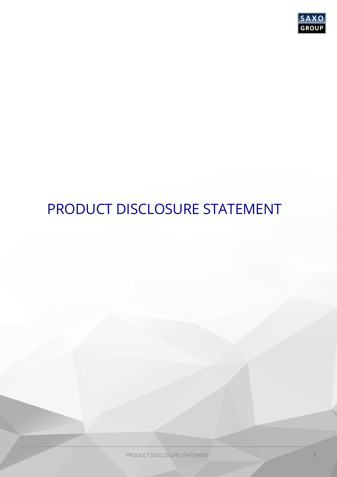

# PRODUCT DISCLOSURE STATEMENT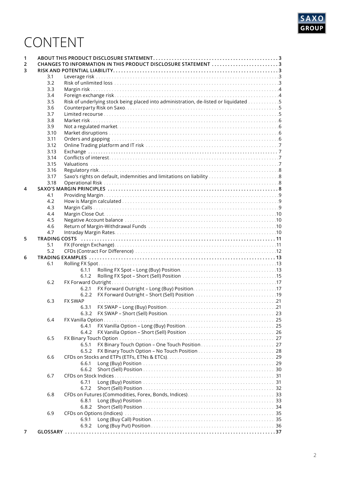

# CONTENT

| 1 |      |                                                                                      |  |
|---|------|--------------------------------------------------------------------------------------|--|
| 2 |      | CHANGES TO INFORMATION IN THIS PRODUCT DISCLOSURE STATEMENT 3                        |  |
| 3 |      |                                                                                      |  |
|   | 3.1  |                                                                                      |  |
|   | 3.2  |                                                                                      |  |
|   | 3.3  |                                                                                      |  |
|   | 3.4  |                                                                                      |  |
|   | 3.5  | Risk of underlying stock being placed into administration, de-listed or liquidated 5 |  |
|   | 3.6  |                                                                                      |  |
|   |      |                                                                                      |  |
|   | 3.7  |                                                                                      |  |
|   | 3.8  |                                                                                      |  |
|   | 3.9  |                                                                                      |  |
|   | 3.10 |                                                                                      |  |
|   | 3.11 |                                                                                      |  |
|   | 3.12 |                                                                                      |  |
|   | 3.13 |                                                                                      |  |
|   | 3.14 |                                                                                      |  |
|   | 3.15 |                                                                                      |  |
|   | 3.16 |                                                                                      |  |
|   | 3.17 |                                                                                      |  |
|   |      |                                                                                      |  |
|   | 3.18 |                                                                                      |  |
| 4 |      |                                                                                      |  |
|   | 4.1  |                                                                                      |  |
|   | 4.2  |                                                                                      |  |
|   | 4.3  |                                                                                      |  |
|   | 4.4  |                                                                                      |  |
|   | 4.5  |                                                                                      |  |
|   | 4.6  |                                                                                      |  |
|   | 4.7  |                                                                                      |  |
| 5 |      |                                                                                      |  |
|   | 5.1  |                                                                                      |  |
|   | 5.2  |                                                                                      |  |
|   |      |                                                                                      |  |
| 6 |      |                                                                                      |  |
|   | 6.1  |                                                                                      |  |
|   |      | 6.1.1                                                                                |  |
|   |      | 6.1.2                                                                                |  |
|   | 6.2  | FX Forward Outright                                                                  |  |
|   |      | 6.2.1                                                                                |  |
|   |      | 6.2.2                                                                                |  |
|   | 6.3  | <b>FX SWAP</b>                                                                       |  |
|   |      | 6.3.1                                                                                |  |
|   |      | 6.3.2                                                                                |  |
|   | 6.4  | FX Vanilla Option.                                                                   |  |
|   |      | 6.4.1                                                                                |  |
|   |      |                                                                                      |  |
|   |      | 6.4.2                                                                                |  |
|   | 6.5  |                                                                                      |  |
|   |      | 6.5.1                                                                                |  |
|   |      | 6.5.2                                                                                |  |
|   | 6.6  |                                                                                      |  |
|   |      | 6.6.1                                                                                |  |
|   |      | 6.6.2                                                                                |  |
|   | 6.7  |                                                                                      |  |
|   |      | 6.7.1                                                                                |  |
|   |      | 6.7.2                                                                                |  |
|   | 6.8  |                                                                                      |  |
|   |      |                                                                                      |  |
|   |      | 6.8.1                                                                                |  |
|   |      | 6.8.2                                                                                |  |
|   | 6.9  |                                                                                      |  |
|   |      | 6.9.1                                                                                |  |
|   |      | 6.9.2                                                                                |  |
| 7 |      |                                                                                      |  |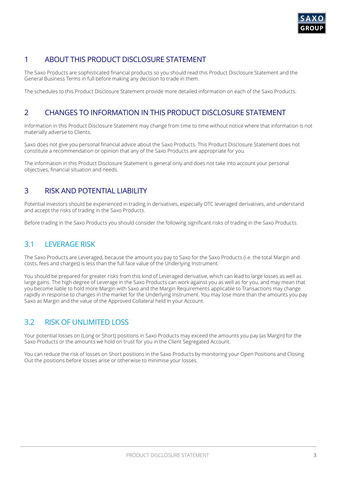

# 1 ABOUT THIS PRODUCT DISCLOSURE STATEMENT

The Saxo Products are sophisticated financial products so you should read this Product Disclosure Statement and the General Business Terms in full before making any decision to trade in them.

The schedules to this Product Disclosure Statement provide more detailed information on each of the Saxo Products.

# 2 CHANGES TO INFORMATION IN THIS PRODUCT DISCLOSURE STATEMENT

Information in this Product Disclosure Statement may change from time to time without notice where that information is not materially adverse to Clients.

Saxo does not give you personal financial advice about the Saxo Products. This Product Disclosure Statement does not constitute a recommendation or opinion that any of the Saxo Products are appropriate for you.

The information in this Product Disclosure Statement is general only and does not take into account your personal objectives, financial situation and needs.

# 3 RISK AND POTENTIAL LIABILITY

Potential investors should be experienced in trading in derivatives, especially OTC leveraged derivatives, and understand and accept the risks of trading in the Saxo Products.

Before trading in the Saxo Products you should consider the following significant risks of trading in the Saxo Products.

# 3.1 LEVERAGE RISK

The Saxo Products are Leveraged, because the amount you pay to Saxo for the Saxo Products (i.e. the total Margin and costs, fees and charges) is less than the full face value of the Underlying Instrument.

You should be prepared for greater risks from this kind of Leveraged derivative, which can lead to large losses as well as large gains. The high degree of Leverage in the Saxo Products can work against you as well as for you, and may mean that you become liable to hold more Margin with Saxo and the Margin Requirements applicable to Transactions may change rapidly in response to changes in the market for the Underlying Instrument. You may lose more than the amounts you pay Saxo as Margin and the value of the Approved Collateral held in your Account.

# 3.2 RISK OF UNLIMITED LOSS

Your potential losses on (Long or Short) positions in Saxo Products may exceed the amounts you pay (as Margin) for the Saxo Products or the amounts we hold on trust for you in the Client Segregated Account.

You can reduce the risk of losses on Short positions in the Saxo Products by monitoring your Open Positions and Closing Out the positions before losses arise or otherwise to minimise your losses.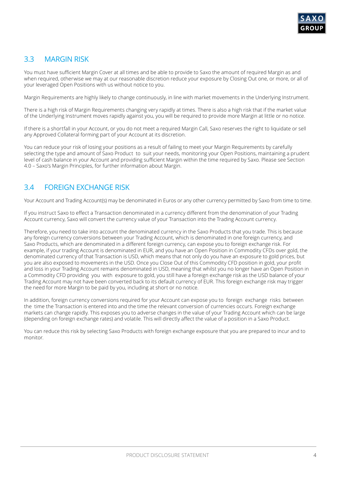

# 3.3 MARGIN RISK

You must have sufficient Margin Cover at all times and be able to provide to Saxo the amount of required Margin as and when required, otherwise we may at our reasonable discretion reduce your exposure by Closing Out one, or more, or all of your leveraged Open Positions with us without notice to you.

Margin Requirements are highly likely to change continuously, in line with market movements in the Underlying Instrument.

There is a high risk of Margin Requirements changing very rapidly at times. There is also a high risk that if the market value of the Underlying Instrument moves rapidly against you, you will be required to provide more Margin at little or no notice.

If there is a shortfall in your Account, or you do not meet a required Margin Call, Saxo reserves the right to liquidate or sell any Approved Collateral forming part of your Account at its discretion.

You can reduce your risk of losing your positions as a result of failing to meet your Margin Requirements by carefully selecting the type and amount of Saxo Product to suit your needs, monitoring your Open Positions, maintaining a prudent level of cash balance in your Account and providing sufficient Margin within the time required by Saxo. Please see Section 4.0 – Saxo's Margin Principles, for further information about Margin.

# 3.4 FOREIGN EXCHANGE RISK

Your Account and Trading Account(s) may be denominated in Euros or any other currency permitted by Saxo from time to time.

If you instruct Saxo to effect a Transaction denominated in a currency different from the denomination of your Trading Account currency, Saxo will convert the currency value of your Transaction into the Trading Account currency.

Therefore, you need to take into account the denominated currency in the Saxo Products that you trade. This is because any foreign currency conversions between your Trading Account, which is denominated in one foreign currency, and Saxo Products, which are denominated in a different foreign currency, can expose you to foreign exchange risk. For example, if your trading Account is denominated in EUR, and you have an Open Position in Commodity CFDs over gold, the denominated currency of that Transaction is USD, which means that not only do you have an exposure to gold prices, but you are also exposed to movements in the USD. Once you Close Out of this Commodity CFD position in gold, your profit and loss in your Trading Account remains denominated in USD, meaning that whilst you no longer have an Open Position in a Commodity CFD providing you with exposure to gold, you still have a foreign exchange risk as the USD balance of your Trading Account may not have been converted back to its default currency of EUR. This foreign exchange risk may trigger the need for more Margin to be paid by you, including at short or no notice.

In addition, foreign currency conversions required for your Account can expose you to foreign exchange risks between the time the Transaction is entered into and the time the relevant conversion of currencies occurs. Foreign exchange markets can change rapidly. This exposes you to adverse changes in the value of your Trading Account which can be large (depending on foreign exchange rates) and volatile. This will directly affect the value of a position in a Saxo Product.

You can reduce this risk by selecting Saxo Products with foreign exchange exposure that you are prepared to incur and to monitor.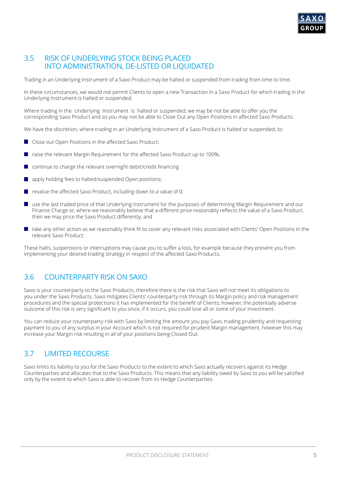

### 3.5 RISK OF UNDERLYING STOCK BEING PLACED INTO ADMINISTRATION, DE-LISTED OR LIQUIDATED

Trading in an Underlying Instrument of a Saxo Product may be halted or suspended from trading from time to time.

In these circumstances, we would not permit Clients to open a new Transaction in a Saxo Product for which trading in the Underlying Instrument is halted or suspended.

Where trading in the Underlying Instrument is halted or suspended, we may be not be able to offer you the corresponding Saxo Product and so you may not be able to Close Out any Open Positions in affected Saxo Products.

We have the discretion, where trading in an Underlying Instrument of a Saxo Product is halted or suspended, to:

- **Close out Open Positions in the affected Saxo Product:**
- $\blacksquare$  raise the relevant Margin Requirement for the affected Saxo Product up to 100%;
- continue to charge the relevant overnight debit/credit financing
- apply holding fees to halted/suspended Open positions;
- $\blacksquare$  revalue the affected Saxo Product, including down to a value of 0;
- use the last traded price of that Underlying Instrument for the purposes of determining Margin Requirement and our  $\mathcal{L}_{\mathcal{A}}$ Finance Charge or, where we reasonably believe that a different price reasonably reflects the value of a Saxo Product, then we may price the Saxo Product differently; and
- take any other action as we reasonably think fit to cover any relevant risks associated with Clients' Open Positions in the  $\mathcal{L}^{\mathcal{L}}$ relevant Saxo Product.

These halts, suspensions or interruptions may cause you to suffer a loss, for example because they prevent you from implementing your desired trading strategy in respect of the affected Saxo Products.

# 3.6 COUNTERPARTY RISK ON SAXO

Saxo is your counterparty to the Saxo Products, therefore there is the risk that Saxo will not meet its obligations to you under the Saxo Products. Saxo mitigates Clients' counterparty risk through its Margin policy and risk management procedures and the special protections it has implemented for the benefit of Clients; however, the potentially adverse outcome of this risk is very significant to you since, if it occurs, you could lose all or some of your investment.

You can reduce your counterparty risk with Saxo by limiting the amount you pay Saxo, trading prudently and requesting payment to you of any surplus in your Account which is not required for prudent Margin management, however this may increase your Margin risk resulting in all of your positions being Closed Out.

# 3.7 LIMITED RECOURSE

Saxo limits its liability to you for the Saxo Products to the extent to which Saxo actually recovers against its Hedge Counterparties and allocates that to the Saxo Products. This means that any liability owed by Saxo to you will be satisfied only by the extent to which Saxo is able to recover from its Hedge Counterparties.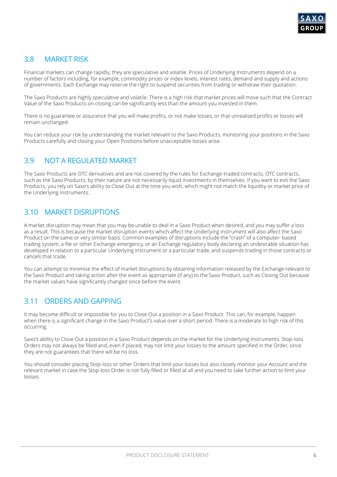

# 3.8 MARKET RISK

Financial markets can change rapidly; they are speculative and volatile. Prices of Underlying Instruments depend on a number of factors including, for example, commodity prices or index levels, interest rates, demand and supply and actions of governments. Each Exchange may reserve the right to suspend securities from trading or withdraw their quotation.

The Saxo Products are highly speculative and volatile. There is a high risk that market prices will move such that the Contract Value of the Saxo Products on closing can be significantly less than the amount you invested in them.

There is no guarantee or assurance that you will make profits, or not make losses, or that unrealised profits or losses will remain unchanged.

You can reduce your risk by understanding the market relevant to the Saxo Products, monitoring your positions in the Saxo Products carefully and closing your Open Positions before unacceptable losses arise.

# 3.9 NOT A REGULATED MARKET

The Saxo Products are OTC derivatives and are not covered by the rules for Exchange-traded contracts. OTC contracts, such as the Saxo Products, by their nature are not necessarily liquid investments in themselves. If you want to exit the Saxo Products, you rely on Saxo's ability to Close Out at the time you wish, which might not match the liquidity or market price of the Underlying Instruments.

# 3.10 MARKET DISRUPTIONS

A market disruption may mean that you may be unable to deal in a Saxo Product when desired, and you may suffer a loss as a result. This is because the market disruption events which affect the Underlying Instrument will also affect the Saxo Product on the same or very similar basis. Common examples of disruptions include the "crash" of a computer- based trading system, a file or other Exchange emergency, or an Exchange regulatory body declaring an undesirable situation has developed in relation to a particular Underlying Instrument or a particular trade, and suspends trading in those contracts or cancels that trade.

You can attempt to minimise the effect of market disruptions by obtaining information released by the Exchange relevant to the Saxo Product and taking action after the event as appropriate (if any) to the Saxo Product, such as Closing Out because the market values have significantly changed since before the event.

# 3.11 ORDERS AND GAPPING

It may become difficult or impossible for you to Close Out a position in a Saxo Product. This can, for example, happen when there is a significant change in the Saxo Product's value over a short period. There is a moderate to high risk of this occurring.

Saxo's ability to Close Out a position in a Saxo Product depends on the market for the Underlying Instruments. Stop-loss Orders may not always be filled and, even if placed, may not limit your losses to the amount specified in the Order, since they are not guarantees that there will be no loss.

You should consider placing Stop-loss or other Orders that limit your losses but also closely monitor your Account and the relevant market in case the Stop-loss Order is not fully filled or filled at all and you need to take further action to limit your losses.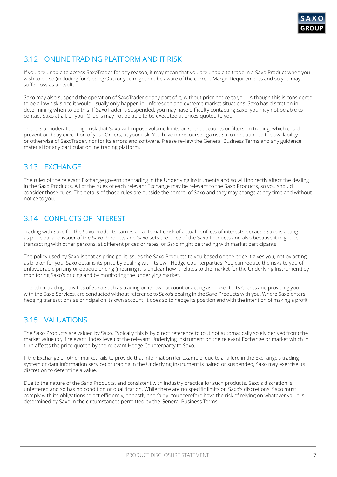

# 3.12 ONLINE TRADING PLATFORM AND IT RISK

If you are unable to access SaxoTrader for any reason, it may mean that you are unable to trade in a Saxo Product when you wish to do so (including for Closing Out) or you might not be aware of the current Margin Requirements and so you may suffer loss as a result.

Saxo may also suspend the operation of SaxoTrader or any part of it, without prior notice to you. Although this is considered to be a low risk since it would usually only happen in unforeseen and extreme market situations, Saxo has discretion in determining when to do this. If SaxoTrader is suspended, you may have difficulty contacting Saxo, you may not be able to contact Saxo at all, or your Orders may not be able to be executed at prices quoted to you.

There is a moderate to high risk that Saxo will impose volume limits on Client accounts or filters on trading, which could prevent or delay execution of your Orders, at your risk. You have no recourse against Saxo in relation to the availability or otherwise of SaxoTrader, nor for its errors and software. Please review the General Business Terms and any guidance material for any particular online trading platform.

# 3.13 EXCHANGE

The rules of the relevant Exchange govern the trading in the Underlying Instruments and so will indirectly affect the dealing in the Saxo Products. All of the rules of each relevant Exchange may be relevant to the Saxo Products, so you should consider those rules. The details of those rules are outside the control of Saxo and they may change at any time and without notice to you.

# 3.14 CONFLICTS OF INTEREST

Trading with Saxo for the Saxo Products carries an automatic risk of actual conflicts of interests because Saxo is acting as principal and issuer of the Saxo Products and Saxo sets the price of the Saxo Products and also because it might be transacting with other persons, at different prices or rates, or Saxo might be trading with market participants.

The policy used by Saxo is that as principal it issues the Saxo Products to you based on the price it gives you, not by acting as broker for you. Saxo obtains its price by dealing with its own Hedge Counterparties. You can reduce the risks to you of unfavourable pricing or opaque pricing (meaning it is unclear how it relates to the market for the Underlying Instrument) by monitoring Saxo's pricing and by monitoring the underlying market.

The other trading activities of Saxo, such as trading on its own account or acting as broker to its Clients and providing you with the Saxo Services, are conducted without reference to Saxo's dealing in the Saxo Products with you. Where Saxo enters hedging transactions as principal on its own account, it does so to hedge its position and with the intention of making a profit.

# 3.15 VALUATIONS

The Saxo Products are valued by Saxo. Typically this is by direct reference to (but not automatically solely derived from) the market value (or, if relevant, index level) of the relevant Underlying Instrument on the relevant Exchange or market which in turn affects the price quoted by the relevant Hedge Counterparty to Saxo.

If the Exchange or other market fails to provide that information (for example, due to a failure in the Exchange's trading system or data information service) or trading in the Underlying Instrument is halted or suspended, Saxo may exercise its discretion to determine a value.

Due to the nature of the Saxo Products, and consistent with industry practice for such products, Saxo's discretion is unfettered and so has no condition or qualification. While there are no specific limits on Saxo's discretions, Saxo must comply with its obligations to act efficiently, honestly and fairly. You therefore have the risk of relying on whatever value is determined by Saxo in the circumstances permitted by the General Business Terms.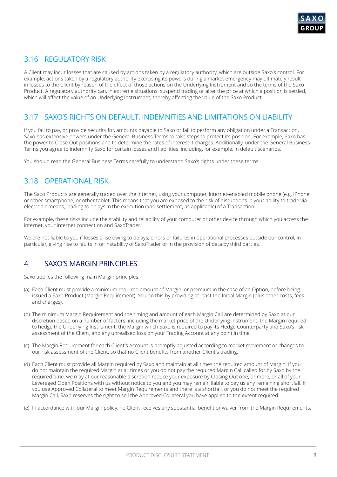

# 3.16 REGULATORY RISK

A Client may incur losses that are caused by actions taken by a regulatory authority, which are outside Saxo's control. For example, actions taken by a regulatory authority exercising its powers during a market emergency may ultimately result in losses to the Client by reason of the effect of those actions on the Underlying Instrument and so the terms of the Saxo Product. A regulatory authority can, in extreme situations, suspend trading or alter the price at which a position is settled, which will affect the value of an Underlying Instrument, thereby affecting the value of the Saxo Product.

# 3.17 SAXO'S RIGHTS ON DEFAULT, INDEMNITIES AND LIMITATIONS ON LIABILITY

If you fail to pay, or provide security for, amounts payable to Saxo or fail to perform any obligation under a Transaction, Saxo has extensive powers under the General Business Terms to take steps to protect its position. For example, Saxo has the power to Close Out positions and to determine the rates of interest it charges. Additionally, under the General Business Terms you agree to indemnify Saxo for certain losses and liabilities, including, for example, in default scenarios.

You should read the General Business Terms carefully to understand Saxo's rights under these terms.

# 3.18 OPERATIONAL RISK

The Saxo Products are generally traded over the internet, using your computer, internet-enabled mobile phone (e.g. iPhone or other smartphone) or other tablet. This means that you are exposed to the risk of disruptions in your ability to trade via electronic means, leading to delays in the execution (and settlement, as applicable) of a Transaction.

For example, these risks include the stability and reliability of your computer or other device through which you access the internet, your internet connection and SaxoTrader.

We are not liable to you if losses arise owing to delays, errors or failures in operational processes outside our control, in particular, giving rise to faults in or instability of SaxoTrader or in the provision of data by third parties.

# 4 SAXO'S MARGIN PRINCIPLES

Saxo applies the following main Margin principles:

- (a) Each Client must provide a minimum required amount of Margin, or premium in the case of an Option, before being issued a Saxo Product (Margin Requirement). You do this by providing at least the Initial Margin (plus other costs, fees and charges).
- (b) The minimum Margin Requirement and the timing and amount of each Margin Call are determined by Saxo at our discretion based on a number of factors, including the market price of the Underlying Instrument, the Margin required to hedge the Underlying Instrument, the Margin which Saxo is required to pay its Hedge Counterparty and Saxo's risk assessment of the Client, and any unrealised loss on your Trading Account at any point in time.
- (c) The Margin Requirement for each Client's Account is promptly adjusted according to market movement or changes to our risk assessment of the Client, so that no Client benefits from another Client's trading.
- (d) Each Client must provide all Margin required by Saxo and maintain at all times the required amount of Margin. If you do not maintain the required Margin at all times or you do not pay the required Margin Call called for by Saxo by the required time, we may at our reasonable discretion reduce your exposure by Closing Out one, or more, or all of your Leveraged Open Positions with us without notice to you and you may remain liable to pay us any remaining shortfall. If you use Approved Collateral to meet Margin Requirements and there is a shortfall, or you do not meet the required Margin Call, Saxo reserves the right to sell the Approved Collateral you have applied to the extent required.
- (e) In accordance with our Margin policy, no Client receives any substantial benefit or waiver from the Margin Requirements.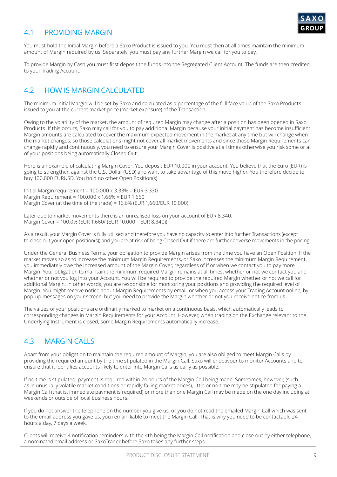

# 4.1 PROVIDING MARGIN

You must hold the Initial Margin before a Saxo Product is issued to you. You must then at all times maintain the minimum amount of Margin required by us. Separately, you must pay any further Margin we call for you to pay.

To provide Margin by Cash you must first deposit the funds into the Segregated Client Account. The funds are then credited to your Trading Account.

# 4.2 HOW IS MARGIN CALCULATED

The minimum Initial Margin will be set by Saxo and calculated as a percentage of the full face value of the Saxo Products issued to you at the current market price (market exposure) of the Transaction.

Owing to the volatility of the market, the amount of required Margin may change after a position has been opened in Saxo Products. If this occurs, Saxo may call for you to pay additional Margin because your initial payment has become insufficient. Margin amounts are calculated to cover the maximum expected movement in the market at any time but will change when the market changes, so those calculations might not cover all market movements and since those Margin Requirements can change rapidly and continuously, you need to ensure your Margin Cover is positive at all times otherwise you risk some or all of your positions being automatically Closed Out.

Here is an example of calculating Margin Cover: You deposit EUR 10,000 in your account. You believe that the Euro (EUR) is going to strengthen against the U.S. Dollar (USD) and want to take advantage of this move higher. You therefore decide to buy 100,000 EURUSD. You hold no other Open Position(s).

Initial Margin requirement =  $100,000 \times 3.33\% = EUR 3.330$ Margin Requirement = 100,000 x 1.66% = EUR 1,660 Margin Cover (at the time of the trade) = 16.6% (EUR 1,660/EUR 10,000)

Later due to market movements there is an unrealised loss on your account of EUR 8,340. Margin Cover = 100.0% (EUR 1,660/ (EUR 10,000 – EUR 8,340))

As a result, your Margin Cover is fully utilised and therefore you have no capacity to enter into further Transactions (except to close out your open position(s)) and you are at risk of being Closed Out if there are further adverse movements in the pricing.

Under the General Business Terms, your obligation to provide Margin arises from the time you have an Open Position. If the market moves so as to increase the minimum Margin Requirements, or Saxo increases the minimum Margin Requirement, you immediately owe the increased amount of the Margin Cover, regardless of if or when we contact you to pay more Margin. Your obligation to maintain the minimum required Margin remains at all times, whether or not we contact you and whether or not you log into your Account. You will be required to provide the required Margin whether or not we call for additional Margin. In other words, you are responsible for monitoring your positions and providing the required level of Margin. You might receive notice about Margin Requirements by email, or when you access your Trading Account online, by pop-up messages on your screen, but you need to provide the Margin whether or not you receive notice from us.

The values of your positions are ordinarily marked to market on a continuous basis, which automatically leads to corresponding changes in Margin Requirements for your Account. However, when trading on the Exchange relevant to the Underlying Instrument is closed, some Margin Requirements automatically increase.

# 4.3 MARGIN CALLS

Apart from your obligation to maintain the required amount of Margin, you are also obliged to meet Margin Calls by providing the required amount by the time stipulated in the Margin Call. Saxo will endeavour to monitor Accounts and to ensure that it identifies accounts likely to enter into Margin Calls as early as possible.

If no time is stipulated, payment is required within 24 hours of the Margin Call being made. Sometimes, however, (such as in unusually volatile market conditions or rapidly falling market prices), little or no time may be stipulated for paying a Margin Call (that is, immediate payment is required) or more than one Margin Call may be made on the one day including at weekends or outside of local business hours.

If you do not answer the telephone on the number you give us, or you do not read the emailed Margin Call which was sent to the email address you gave us, you remain liable to meet the Margin Call. That is why you need to be contactable 24 hours a day, 7 days a week.

Clients will receive 4 notification reminders with the 4th being the Margin Call notification and close out by either telephone, a nominated email address or SaxoTrader before Saxo takes any further steps.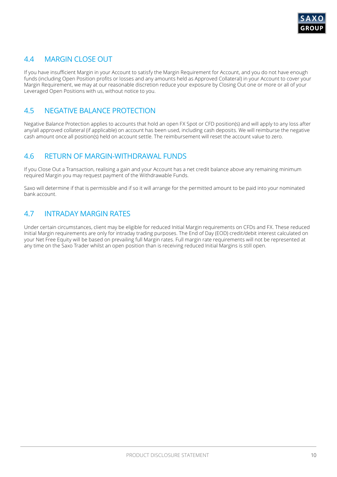

# 4.4 MARGIN CLOSE OUT

If you have insufficient Margin in your Account to satisfy the Margin Requirement for Account, and you do not have enough funds (including Open Position profits or losses and any amounts held as Approved Collateral) in your Account to cover your Margin Requirement, we may at our reasonable discretion reduce your exposure by Closing Out one or more or all of your Leveraged Open Positions with us, without notice to you.

# 4.5 NEGATIVE BALANCE PROTECTION

Negative Balance Protection applies to accounts that hold an open FX Spot or CFD position(s) and will apply to any loss after any/all approved collateral (if applicable) on account has been used, including cash deposits. We will reimburse the negative cash amount once all position(s) held on account settle. The reimbursement will reset the account value to zero.

# 4.6 RETURN OF MARGIN-WITHDRAWAL FUNDS

If you Close Out a Transaction, realising a gain and your Account has a net credit balance above any remaining minimum required Margin you may request payment of the Withdrawable Funds.

Saxo will determine if that is permissible and if so it will arrange for the permitted amount to be paid into your nominated bank account.

# 4.7 INTRADAY MARGIN RATES

Under certain circumstances, client may be eligible for reduced Initial Margin requirements on CFDs and FX. These reduced Initial Margin requirements are only for intraday trading purposes. The End of Day (EOD) credit/debit interest calculated on your Net Free Equity will be based on prevailing full Margin rates. Full margin rate requirements will not be represented at any time on the Saxo Trader whilst an open position than is receiving reduced Initial Margins is still open.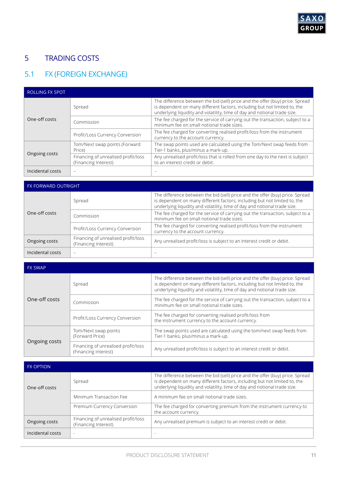

# 5 TRADING COSTS

# 5.1 FX (FOREIGN EXCHANGE)

| <b>ROLLING FX SPOT</b> |                                                             |                                                                                                                                                                                                                                         |  |
|------------------------|-------------------------------------------------------------|-----------------------------------------------------------------------------------------------------------------------------------------------------------------------------------------------------------------------------------------|--|
|                        | Spread                                                      | The difference between the bid (sell) price and the offer (buy) price. Spread<br>is dependent on many different factors, including but not limited to, the<br>underlying liquidity and volatility, time of day and notional trade size. |  |
| One-off costs          | Commission                                                  | The fee charged for the service of carrying out the transaction, subject to a<br>minimum fee on small notional trade sizes.                                                                                                             |  |
|                        | Profit/Loss Currency Conversion                             | The fee charged for converting realised profit/loss from the instrument<br>currency to the account currency.                                                                                                                            |  |
|                        | Tom/Next swap points (Forward<br>Price)                     | The swap points used are calculated using the Tom/Next swap feeds from<br>Tier-1 banks, plus/minus a mark-up.                                                                                                                           |  |
| Ongoing costs          | Financing of unrealised profit/loss<br>(Financing Interest) | Any unrealised profit/loss that is rolled from one day to the next is subject<br>to an interest credit or debit.                                                                                                                        |  |
| Incidental costs       |                                                             |                                                                                                                                                                                                                                         |  |

| <b>FX FORWARD OUTRIGHT</b> |                                                             |                                                                                                                                                                                                                                         |  |
|----------------------------|-------------------------------------------------------------|-----------------------------------------------------------------------------------------------------------------------------------------------------------------------------------------------------------------------------------------|--|
|                            | Spread                                                      | The difference between the bid (sell) price and the offer (buy) price. Spread<br>is dependent on many different factors, including but not limited to, the<br>underlying liquidity and volatility, time of day and notional trade size. |  |
| One-off costs              | Commission                                                  | The fee charged for the service of carrying out the transaction, subject to a<br>minimum fee on small notional trade sizes.                                                                                                             |  |
|                            | Profit/Loss Currency Conversion                             | The fee charged for converting realised profit/loss from the instrument<br>currency to the account currency.                                                                                                                            |  |
| Ongoing costs              | Financing of unrealised profit/loss<br>(Financing Interest) | Any unrealised profit/loss is subject to an interest credit or debit.                                                                                                                                                                   |  |
| Incidental costs           | -                                                           |                                                                                                                                                                                                                                         |  |

| <b>FX SWAP</b> |                                                             |                                                                                                                                                                                                                                         |  |
|----------------|-------------------------------------------------------------|-----------------------------------------------------------------------------------------------------------------------------------------------------------------------------------------------------------------------------------------|--|
|                | Spread                                                      | The difference between the bid (sell) price and the offer (buy) price. Spread<br>is dependent on many different factors, including but not limited to, the<br>underlying liquidity and volatility, time of day and notional trade size. |  |
| One-off costs  | Commission                                                  | The fee charged for the service of carrying out the transaction, subject to a<br>minimum fee on small notional trade sizes.                                                                                                             |  |
|                | Profit/Loss Currency Conversion                             | The fee charged for converting realised profit/loss from<br>the instrument currency to the account currency.                                                                                                                            |  |
|                | Tom/Next swap points<br>(Forward Price)                     | The swap points used are calculated using the tom/next swap feeds from<br>Tier-1 banks, plus/minus a mark-up.                                                                                                                           |  |
| Ongoing costs  | Financing of unrealised profit/loss<br>(Financing Interest) | Any unrealised profit/loss is subject to an interest credit or debit.                                                                                                                                                                   |  |

| <b>FX OPTION</b> |                                                             |                                                                                                                                                                                                                                         |
|------------------|-------------------------------------------------------------|-----------------------------------------------------------------------------------------------------------------------------------------------------------------------------------------------------------------------------------------|
| One-off costs    | Spread                                                      | The difference between the bid (sell) price and the offer (buy) price. Spread<br>is dependent on many different factors, including but not limited to, the<br>underlying liquidity and volatility, time of day and notional trade size. |
|                  | Minimum Transaction Fee                                     | A minimum fee on small notional trade sizes.                                                                                                                                                                                            |
|                  | Premium Currency Conversion                                 | The fee charged for converting premium from the instrument currency to<br>the account currency.                                                                                                                                         |
| Ongoing costs    | Financing of unrealised profit/loss<br>(Financing Interest) | Any unrealised premium is subject to an interest credit or debit.                                                                                                                                                                       |
| Incidental costs |                                                             |                                                                                                                                                                                                                                         |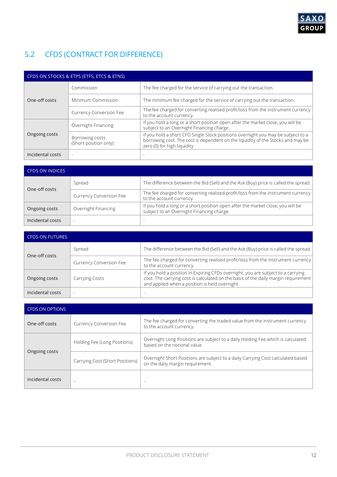

# 5.2 CFDS (CONTRACT FOR DIFFERENCE)

| CFDS ON STOCKS & ETPS (ETFS, ETCS & ETNS) |                                          |                                                                                                                                                                                                    |  |
|-------------------------------------------|------------------------------------------|----------------------------------------------------------------------------------------------------------------------------------------------------------------------------------------------------|--|
|                                           | Commission                               | The fee charged for the service of carrying out the transaction.                                                                                                                                   |  |
| One-off costs                             | Minimum Commission                       | The minimum fee charged for the service of carrying out the transaction.                                                                                                                           |  |
|                                           | <b>Currency Conversion Fee</b>           | The fee charged for converting realised profit/loss from the instrument currency<br>to the account currency.                                                                                       |  |
|                                           | Overnight Financing                      | If you hold a long or a short position open after the market close, you will be<br>subject to an Overnight Financing charge.                                                                       |  |
| Ongoing costs                             | Borrowing costs<br>(Short position only) | If you hold a short CFD Single Stock positions overnight you may be subject to a<br>borrowing cost. The cost is dependent on the liquidity of the Stocks and may be<br>zero (0) for high liquidity |  |
| Incidental costs                          |                                          |                                                                                                                                                                                                    |  |

| <b>CFDS ON INDICES</b> |                                |                                                                                                                              |  |
|------------------------|--------------------------------|------------------------------------------------------------------------------------------------------------------------------|--|
| One-off costs          | Spread                         | The difference between the Bid (Sell) and the Ask (Buy) price is called the spread.                                          |  |
|                        | <b>Currency Conversion Fee</b> | The fee charged for converting realised profit/loss from the instrument currency<br>to the account currency.                 |  |
| Ongoing costs          | Overnight Financing            | If you hold a long or a short position open after the market close, you will be<br>subject to an Overnight Financing charge. |  |
| Incidental costs       | $\sim$                         |                                                                                                                              |  |

| <b>CFDS ON FUTURES</b> |                                |                                                                                                                                                                                                                          |  |  |
|------------------------|--------------------------------|--------------------------------------------------------------------------------------------------------------------------------------------------------------------------------------------------------------------------|--|--|
|                        | Spread                         | The difference between the Bid (Sell) and the Ask (Buy) price is called the spread.                                                                                                                                      |  |  |
| One-off costs          | <b>Currency Conversion Fee</b> | The fee charged for converting realised profit/loss from the instrument currency<br>to the account currency.                                                                                                             |  |  |
| Ongoing costs          | <b>Carrying Costs</b>          | If you hold a position in Expiring CFDs overnight, you are subject to a carrying<br>cost. The carrying cost is calculated on the basis of the daily margin requirement<br>and applied when a position is held overnight. |  |  |
| Incidental costs       |                                |                                                                                                                                                                                                                          |  |  |

| <b>CFDS ON OPTIONS</b> |                                 |                                                                                                                     |  |  |
|------------------------|---------------------------------|---------------------------------------------------------------------------------------------------------------------|--|--|
| One-off costs          | <b>Currency Conversion Fee</b>  | The fee charged for converting the traded value from the instrument currency<br>to the account currency.            |  |  |
|                        | Holding Fee (Long Positions)    | Overnight Long Positions are subject to a daily Holding Fee which is calculated<br>based on the notional value.     |  |  |
| Ongoing costs          | Carrying Cost (Short Positions) | Overnight Short Positions are subject to a daily Carrying Cost calculated based<br>on the daily margin requirement. |  |  |
| Incidental costs       | $\overline{\phantom{0}}$        | -                                                                                                                   |  |  |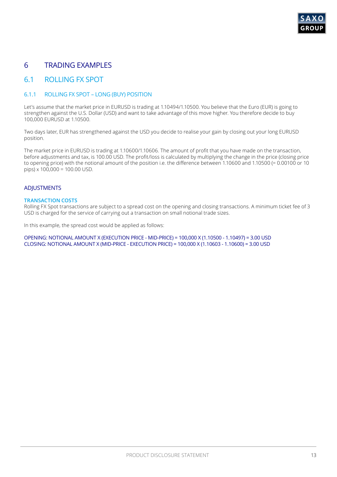

# 6 TRADING EXAMPLES

### 6.1 ROLLING FX SPOT

### 6.1.1 ROLLING FX SPOT – LONG (BUY) POSITION

Let's assume that the market price in EURUSD is trading at 1.10494/1.10500. You believe that the Euro (EUR) is going to strengthen against the U.S. Dollar (USD) and want to take advantage of this move higher. You therefore decide to buy 100,000 EURUSD at 1.10500.

Two days later, EUR has strengthened against the USD you decide to realise your gain by closing out your long EURUSD position.

The market price in EURUSD is trading at 1.10600/1.10606. The amount of profit that you have made on the transaction, before adjustments and tax, is 100.00 USD. The profit/loss is calculated by multiplying the change in the price (closing price to opening price) with the notional amount of the position i.e. the difference between 1.10600 and 1.10500 (= 0.00100 or 10  $pips) \times 100,000 = 100.00$  USD.

### **ADJUSTMENTS**

#### **TRANSACTION COSTS**

Rolling FX Spot transactions are subject to a spread cost on the opening and closing transactions. A minimum ticket fee of 3 USD is charged for the service of carrying out a transaction on small notional trade sizes.

In this example, the spread cost would be applied as follows:

OPENING: NOTIONAL AMOUNT X (EXECUTION PRICE - MID-PRICE) = 100,000 X (1.10500 - 1.10497) = 3.00 USD CLOSING: NOTIONAL AMOUNT X (MID-PRICE - EXECUTION PRICE) = 100,000 X (1.10603 - 1.10600) = 3.00 USD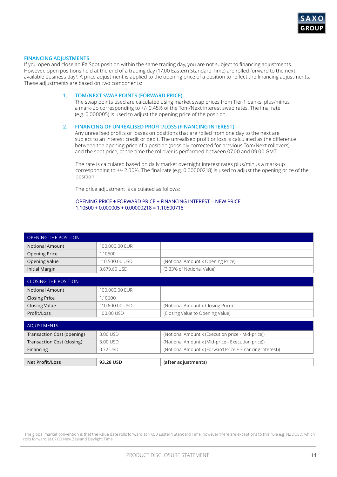

#### **FINANCING ADJUSTMENTS**

If you open and close an FX Spot position within the same trading day, you are not subject to financing adjustments. However, open positions held at the end of a trading day (17.00 Eastern Standard Time) are rolled forward to the next available business day<sup>1</sup> . A price adjustment is applied to the opening price of a position to reflect the financing adjustments. These adjustments are based on two components:

#### **1. TOM/NEXT SWAP POINTS (FORWARD PRICE)**

The swap points used are calculated using market swap prices from Tier-1 banks, plus/minus a mark-up corresponding to +/- 0.45% of the Tom/Next interest swap rates. The final rate (e.g. 0.000005) is used to adjust the opening price of the position.

#### **2. FINANCING OF UNREALISED PROFIT/LOSS (FINANCING INTEREST)**

Any unrealised profits or losses on positions that are rolled from one day to the next are subject to an interest credit or debit. The unrealised profit or loss is calculated as the difference between the opening price of a position (possibly corrected for previous Tom/Next rollovers) and the spot price, at the time the rollover is performed between 07.00 and 09.00 GMT.

The rate is calculated based on daily market overnight interest rates plus/minus a mark-up corresponding to +/- 2.00%. The final rate (e.g. 0.00000218) is used to adjust the opening price of the position.

The price adjustment is calculated as follows:

#### OPENING PRICE + FORWARD PRICE + FINANCING INTEREST = NEW PRICE  $1.10500 + 0.000005 + 0.00000218 = 1.10500718$

| <b>OPENING THE POSITION</b> |                |                                                          |  |  |
|-----------------------------|----------------|----------------------------------------------------------|--|--|
| <b>Notional Amount</b>      | 100,000.00 EUR |                                                          |  |  |
| <b>Opening Price</b>        | 1.10500        |                                                          |  |  |
| <b>Opening Value</b>        | 110,500.00 USD | (Notional Amount x Opening Price)                        |  |  |
| Initial Margin              | 3,679.65 USD   | (3.33% of Notional Value)                                |  |  |
|                             |                |                                                          |  |  |
| <b>CLOSING THE POSITION</b> |                |                                                          |  |  |
| <b>Notional Amount</b>      | 100,000.00 EUR |                                                          |  |  |
| <b>Closing Price</b>        | 1.10600        |                                                          |  |  |
| <b>Closing Value</b>        | 110,600.00 USD | (Notional Amount x Closing Price)                        |  |  |
| Profit/Loss                 | 100.00 USD     | (Closing Value to Opening Value)                         |  |  |
|                             |                |                                                          |  |  |
| <b>ADJUSTMENTS</b>          |                |                                                          |  |  |
| Transaction Cost (opening)  | 3.00 USD       | (Notional Amount x (Execution price - Mid-price))        |  |  |
| Transaction Cost (closing)  | 3.00 USD       | (Notional Amount x (Mid-price - Execution price))        |  |  |
| Financing                   | 0.72 USD       | (Notional Amount x (Forward Price + Financing Interest)) |  |  |
|                             |                |                                                          |  |  |
| <b>Net Profit/Loss</b>      | 93.28 USD      | (after adjustments)                                      |  |  |

1 The global market convention is that the value date rolls forward at 17.00 Eastern Standard Time, however there are exceptions to this rule e.g. NZDUSD, which rolls forward at 07.00 New Zealand Daylight Time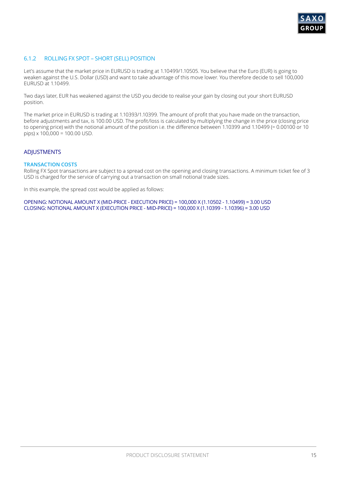

### 6.1.2 ROLLING FX SPOT – SHORT (SELL) POSITION

Let's assume that the market price in EURUSD is trading at 1.10499/1.10505. You believe that the Euro (EUR) is going to weaken against the U.S. Dollar (USD) and want to take advantage of this move lower. You therefore decide to sell 100,000 EURUSD at 1.10499.

Two days later, EUR has weakened against the USD you decide to realise your gain by closing out your short EURUSD position.

The market price in EURUSD is trading at 1.10393/1.10399. The amount of profit that you have made on the transaction, before adjustments and tax, is 100.00 USD. The profit/loss is calculated by multiplying the change in the price (closing price to opening price) with the notional amount of the position i.e. the difference between 1.10399 and 1.10499 (= 0.00100 or 10  $pips$  x 100,000 = 100.00 USD.

### ADJUSTMENTS

#### **TRANSACTION COSTS**

Rolling FX Spot transactions are subject to a spread cost on the opening and closing transactions. A minimum ticket fee of 3 USD is charged for the service of carrying out a transaction on small notional trade sizes.

In this example, the spread cost would be applied as follows:

OPENING: NOTIONAL AMOUNT X (MID-PRICE - EXECUTION PRICE) = 100,000 X (1.10502 - 1.10499) = 3.00 USD CLOSING: NOTIONAL AMOUNT X (EXECUTION PRICE - MID-PRICE) = 100,000 X (1.10399 - 1.10396) = 3.00 USD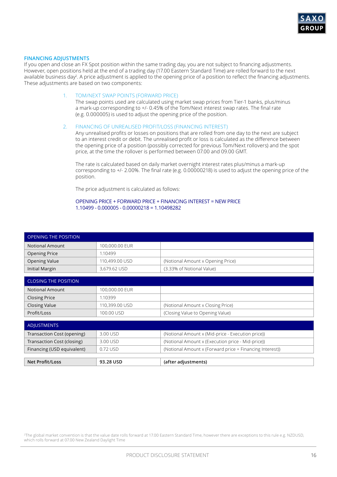

#### **FINANCING ADJUSTMENTS**

If you open and close an FX Spot position within the same trading day, you are not subject to financing adjustments. However, open positions held at the end of a trading day (17.00 Eastern Standard Time) are rolled forward to the next available business day<sup>2</sup>. A price adjustment is applied to the opening price of a position to reflect the financing adjustments. These adjustments are based on two components:

#### 1. TOM/NEXT SWAP POINTS (FORWARD PRICE)

The swap points used are calculated using market swap prices from Tier-1 banks, plus/minus a mark-up corresponding to +/- 0.45% of the Tom/Next interest swap rates. The final rate (e.g. 0.000005) is used to adjust the opening price of the position.

#### 2. FINANCING OF UNREALISED PROFIT/LOSS (FINANCING INTEREST)

Any unrealised profits or losses on positions that are rolled from one day to the next are subject to an interest credit or debit. The unrealised profit or loss is calculated as the difference between the opening price of a position (possibly corrected for previous Tom/Next rollovers) and the spot price, at the time the rollover is performed between 07.00 and 09.00 GMT.

The rate is calculated based on daily market overnight interest rates plus/minus a mark-up corresponding to +/- 2.00%. The final rate (e.g. 0.00000218) is used to adjust the opening price of the position.

The price adjustment is calculated as follows:

#### OPENING PRICE + FORWARD PRICE + FINANCING INTEREST = NEW PRICE 1.10499 - 0.000005 - 0.00000218 = 1.10498282

| <b>OPENING THE POSITION</b> |                |                                                          |  |  |
|-----------------------------|----------------|----------------------------------------------------------|--|--|
| Notional Amount             | 100,000.00 EUR |                                                          |  |  |
| <b>Opening Price</b>        | 1.10499        |                                                          |  |  |
| <b>Opening Value</b>        | 110,499.00 USD | (Notional Amount x Opening Price)                        |  |  |
| Initial Margin              | 3,679.62 USD   | (3.33% of Notional Value)                                |  |  |
|                             |                |                                                          |  |  |
| <b>CLOSING THE POSITION</b> |                |                                                          |  |  |
| <b>Notional Amount</b>      | 100,000.00 EUR |                                                          |  |  |
| <b>Closing Price</b>        | 1.10399        |                                                          |  |  |
| <b>Closing Value</b>        | 110,399.00 USD | (Notional Amount x Closing Price)                        |  |  |
| Profit/Loss                 | 100.00 USD     | (Closing Value to Opening Value)                         |  |  |
|                             |                |                                                          |  |  |
| <b>ADJUSTMENTS</b>          |                |                                                          |  |  |
| Transaction Cost (opening)  | 3.00 USD       | (Notional Amount x (Mid-price - Execution price))        |  |  |
| Transaction Cost (closing)  | 3.00 USD       | (Notional Amount x (Execution price - Mid-price))        |  |  |
| Financing (USD equivalent)  | 0.72 USD       | (Notional Amount x (Forward price + Financing Interest)) |  |  |
|                             |                |                                                          |  |  |
| <b>Net Profit/Loss</b>      | 93.28 USD      | (after adjustments)                                      |  |  |

<sup>2</sup>The global market convention is that the value date rolls forward at 17.00 Eastern Standard Time, however there are exceptions to this rule e.g. NZDUSD, which rolls forward at 07.00 New Zealand Daylight Time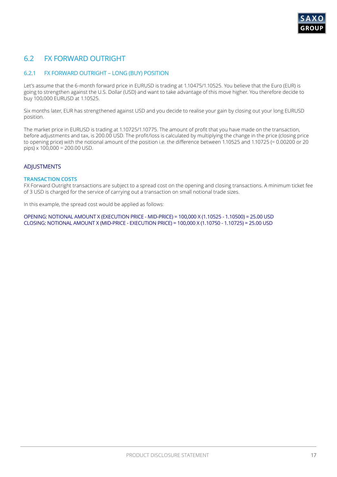# 6.2 FX FORWARD OUTRIGHT

### 6.2.1 FX FORWARD OUTRIGHT – LONG (BUY) POSITION

Let's assume that the 6-month forward price in EURUSD is trading at 1.10475/1.10525. You believe that the Euro (EUR) is going to strengthen against the U.S. Dollar (USD) and want to take advantage of this move higher. You therefore decide to buy 100,000 EURUSD at 1.10525.

Six months later, EUR has strengthened against USD and you decide to realise your gain by closing out your long EURUSD position.

The market price in EURUSD is trading at 1.10725/1.10775. The amount of profit that you have made on the transaction, before adjustments and tax, is 200.00 USD. The profit/loss is calculated by multiplying the change in the price (closing price to opening price) with the notional amount of the position i.e. the difference between 1.10525 and 1.10725 (= 0.00200 or 20 pips) x 100,000 = 200.00 USD.

### **ADJUSTMENTS**

#### **TRANSACTION COSTS**

FX Forward Outright transactions are subject to a spread cost on the opening and closing transactions. A minimum ticket fee of 3 USD is charged for the service of carrying out a transaction on small notional trade sizes.

In this example, the spread cost would be applied as follows:

OPENING: NOTIONAL AMOUNT X (EXECUTION PRICE - MID-PRICE) = 100,000 X (1.10525 - 1.10500) = 25.00 USD CLOSING: NOTIONAL AMOUNT X (MID-PRICE - EXECUTION PRICE) = 100,000 X (1.10750 - 1.10725) = 25.00 USD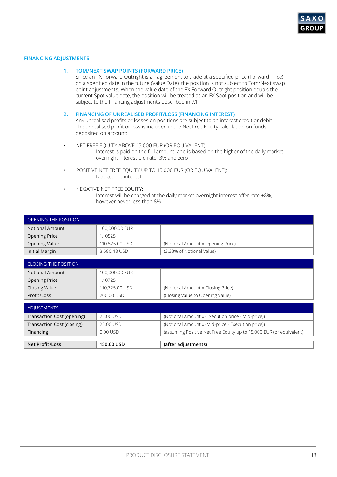

#### **FINANCING ADJUSTMENTS**

#### **1. TOM/NEXT SWAP POINTS (FORWARD PRICE)**

Since an FX Forward Outright is an agreement to trade at a specified price (Forward Price) on a specified date in the future (Value Date), the position is not subject to Tom/Next swap point adjustments. When the value date of the FX Forward Outright position equals the current Spot value date, the position will be treated as an FX Spot position and will be subject to the financing adjustments described in 7.1.

#### **2. FINANCING OF UNREALISED PROFIT/LOSS (FINANCING INTEREST)**

- NET FREE EQUITY ABOVE 15,000 EUR (OR EQUIVALENT):
	- Interest is paid on the full amount, and is based on the higher of the daily market overnight interest bid rate -3% and zero
- POSITIVE NET FREE EQUITY UP TO 15,000 EUR (OR EQUIVALENT): No account interest
- NEGATIVE NET FREE EQUITY:
	- Interest will be charged at the daily market overnight interest offer rate +8%, however never less than 8%

| <b>OPENING THE POSITION</b> |                |                                   |  |
|-----------------------------|----------------|-----------------------------------|--|
| Notional Amount             | 100,000.00 EUR |                                   |  |
| <b>Opening Price</b>        | 1.10525        |                                   |  |
| <b>Opening Value</b>        | 110,525,00 USD | (Notional Amount x Opening Price) |  |
| Initial Margin              | 3,680.48 USD   | (3.33% of Notional Value)         |  |

| <b>CLOSING THE POSITION</b> |                |                                   |
|-----------------------------|----------------|-----------------------------------|
| <b>Notional Amount</b>      | 100,000.00 EUR |                                   |
| <b>Opening Price</b>        | 1.10725        |                                   |
| <b>Closing Value</b>        | 110,725.00 USD | (Notional Amount x Closing Price) |
| Profit/Loss                 | 200.00 USD     | (Closing Value to Opening Value)  |

| ADJUSTMENTS                |            |                                                                     |
|----------------------------|------------|---------------------------------------------------------------------|
| Transaction Cost (opening) | 25.00 USD  | (Notional Amount x (Execution price - Mid-price))                   |
| Transaction Cost (closing) | 25.00 USD  | (Notional Amount x (Mid-price - Execution price))                   |
| Financing                  | 0.00 USD   | (assuming Positive Net Free Equity up to 15,000 EUR (or equivalent) |
|                            |            |                                                                     |
| <b>Net Profit/Loss</b>     | 150.00 USD | (after adjustments)                                                 |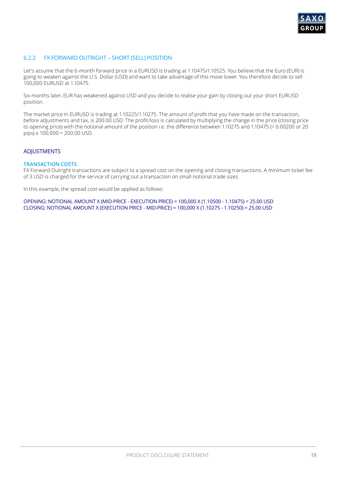

### 6.2.2 FX FORWARD OUTRIGHT – SHORT (SELL) POSITION

Let's assume that the 6-month forward price in a EURUSD is trading at 1.10475/1.10525. You believe that the Euro (EUR) is going to weaken against the U.S. Dollar (USD) and want to take advantage of this move lower. You therefore decide to sell 100,000 EURUSD at 1.10475.

Six months later, EUR has weakened against USD and you decide to realise your gain by closing out your short EURUSD position.

The market price in EURUSD is trading at 1.10225/1.10275. The amount of profit that you have made on the transaction, before adjustments and tax, is 200.00 USD. The profit/loss is calculated by multiplying the change in the price (closing price to opening price) with the notional amount of the position i.e. the difference between 1.10275 and 1.10475 (= 0.00200 or 20 pips) x 100,000 = 200.00 USD.

#### ADJUSTMENTS

#### **TRANSACTION COSTS**

FX Forward Outright transactions are subject to a spread cost on the opening and closing transactions. A minimum ticket fee of 3 USD is charged for the service of carrying out a transaction on small notional trade sizes.

In this example, the spread cost would be applied as follows:

OPENING: NOTIONAL AMOUNT X (MID-PRICE - EXECUTION PRICE) = 100,000 X (1.10500 - 1.10475) = 25.00 USD CLOSING: NOTIONAL AMOUNT X (EXECUTION PRICE - MID-PRICE) = 100,000 X (1.10275 - 1.10250) = 25.00 USD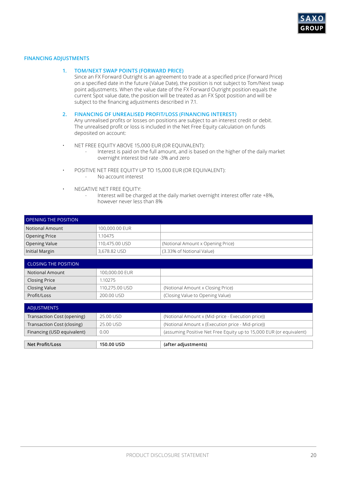

#### **FINANCING ADJUSTMENTS**

#### **1. TOM/NEXT SWAP POINTS (FORWARD PRICE)**

Since an FX Forward Outright is an agreement to trade at a specified price (Forward Price) on a specified date in the future (Value Date), the position is not subject to Tom/Next swap point adjustments. When the value date of the FX Forward Outright position equals the current Spot value date, the position will be treated as an FX Spot position and will be subject to the financing adjustments described in 7.1.

#### **2. FINANCING OF UNREALISED PROFIT/LOSS (FINANCING INTEREST)**

- NET FREE EQUITY ABOVE 15,000 EUR (OR EQUIVALENT):
	- Interest is paid on the full amount, and is based on the higher of the daily market overnight interest bid rate -3% and zero
- POSITIVE NET FREE EQUITY UP TO 15,000 EUR (OR EQUIVALENT): No account interest
- NEGATIVE NET FREE EQUITY:
	- Interest will be charged at the daily market overnight interest offer rate +8%, however never less than 8%

| OPENING THE POSITION |                |                                   |
|----------------------|----------------|-----------------------------------|
| Notional Amount      | 100,000.00 EUR |                                   |
| Opening Price        | 1.10475        |                                   |
| Opening Value        | 110,475,00 USD | (Notional Amount x Opening Price) |
| Initial Margin       | 3,678.82 USD   | (3.33% of Notional Value)         |

| <b>CLOSING THE POSITION</b> |                |                                   |
|-----------------------------|----------------|-----------------------------------|
| <b>Notional Amount</b>      | 100,000.00 EUR |                                   |
| <b>Closing Price</b>        | 1.10275        |                                   |
| <b>Closing Value</b>        | 110,275.00 USD | (Notional Amount x Closing Price) |
| Profit/Loss                 | 200.00 USD     | (Closing Value to Opening Value)  |

| ADJUSTMENTS                |            |                                                                     |
|----------------------------|------------|---------------------------------------------------------------------|
| Transaction Cost (opening) | 25.00 USD  | (Notional Amount x (Mid-price - Execution price))                   |
| Transaction Cost (closing) | 25.00 USD  | (Notional Amount x (Execution price - Mid-price))                   |
| Financing (USD equivalent) | 0.00       | (assuming Positive Net Free Equity up to 15,000 EUR (or equivalent) |
|                            |            |                                                                     |
| <b>Net Profit/Loss</b>     | 150.00 USD | (after adjustments)                                                 |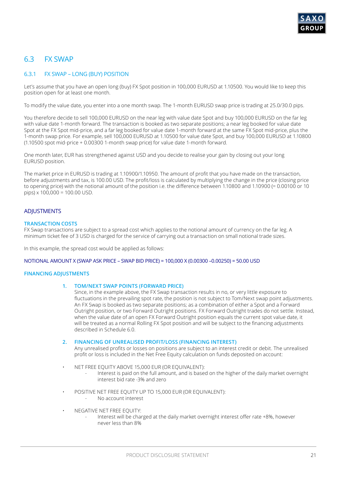# 6.3 FX SWAP

### 6.3.1 FX SWAP – LONG (BUY) POSITION

Let's assume that you have an open long (buy) FX Spot position in 100,000 EURUSD at 1.10500. You would like to keep this position open for at least one month.

To modify the value date, you enter into a one month swap. The 1-month EURUSD swap price is trading at 25.0/30.0 pips.

You therefore decide to sell 100,000 EURUSD on the near leg with value date Spot and buy 100,000 EURUSD on the far leg with value date 1-month forward. The transaction is booked as two separate positions; a near leg booked for value date Spot at the FX Spot mid-price, and a far leg booked for value date 1-month forward at the same FX Spot mid-price, plus the 1-month swap price. For example, sell 100,000 EURUSD at 1.10500 for value date Spot, and buy 100,000 EURUSD at 1.10800 (1.10500 spot mid-price + 0.00300 1-month swap price) for value date 1-month forward.

One month later, EUR has strengthened against USD and you decide to realise your gain by closing out your long EURUSD position.

The market price in EURUSD is trading at 1.10900/1.10950. The amount of profit that you have made on the transaction, before adjustments and tax, is 100.00 USD. The profit/loss is calculated by multiplying the change in the price (closing price to opening price) with the notional amount of the position i.e. the difference between 1.10800 and 1.10900 (= 0.00100 or 10 pips) x 100,000 = 100.00 USD.

### **ADJUSTMENTS**

#### **TRANSACTION COSTS**

FX Swap transactions are subject to a spread cost which applies to the notional amount of currency on the far leg. A minimum ticket fee of 3 USD is charged for the service of carrying out a transaction on small notional trade sizes.

In this example, the spread cost would be applied as follows:

#### NOTIONAL AMOUNT X (SWAP ASK PRICE – SWAP BID PRICE) = 100,000 X (0.00300 –0.00250) = 50.00 USD

#### **FINANCING ADJUSTMENTS**

#### **1. TOM/NEXT SWAP POINTS (FORWARD PRICE)**

Since, in the example above, the FX Swap transaction results in no, or very little exposure to fluctuations in the prevailing spot rate, the position is not subject to Tom/Next swap point adjustments. An FX Swap is booked as two separate positions; as a combination of either a Spot and a Forward Outright position, or two Forward Outright positions. FX Forward Outright trades do not settle. Instead, when the value date of an open FX Forward Outright position equals the current spot value date, it will be treated as a normal Rolling FX Spot position and will be subject to the financing adjustments described in Schedule 6.0.

#### **2. FINANCING OF UNREALISED PROFIT/LOSS (FINANCING INTEREST)**

- NET FREE EQUITY ABOVE 15,000 EUR (OR EQUIVALENT):
	- Interest is paid on the full amount, and is based on the higher of the daily market overnight interest bid rate -3% and zero
- POSITIVE NET FREE EQUITY UP TO 15,000 EUR (OR EQUIVALENT):
	- No account interest
- NEGATIVE NET FREE EQUITY:
	- Interest will be charged at the daily market overnight interest offer rate +8%, however never less than 8%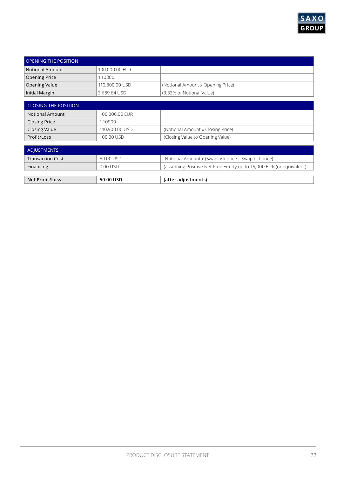

| <b>OPENING THE POSITION</b> |                |                                   |
|-----------------------------|----------------|-----------------------------------|
| Notional Amount             | 100,000.00 EUR |                                   |
| Opening Price               | 1.10800        |                                   |
| Opening Value               | 110,800.00 USD | (Notional Amount x Opening Price) |
| Initial Margin              | 3,689.64 USD   | (3.33% of Notional Value)         |

| <b>CLOSING THE POSITION</b> |                |                                   |
|-----------------------------|----------------|-----------------------------------|
| <b>Notional Amount</b>      | 100,000.00 EUR |                                   |
| <b>Closing Price</b>        | 1.10900        |                                   |
| Closing Value               | 110,900.00 USD | (Notional Amount x Closing Price) |
| Profit/Loss                 | 100.00 USD     | (Closing Value to Opening Value)  |

| ' ADJUSTMENTS ,         |           |                                                                     |
|-------------------------|-----------|---------------------------------------------------------------------|
| <b>Transaction Cost</b> | 50.00 USD | Notional Amount x (Swap ask price – Swap bid price)                 |
| Financing               | 0.00 USD  | (assuming Positive Net Free Equity up to 15,000 EUR (or equivalent) |
|                         |           |                                                                     |
| <b>Net Profit/Loss</b>  | 50.00 USD | (after adjustments)                                                 |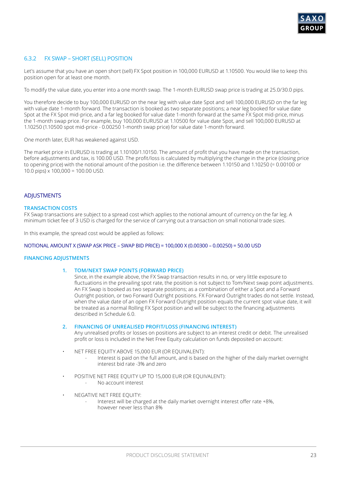

### 6.3.2 FX SWAP – SHORT (SELL) POSITION

Let's assume that you have an open short (sell) FX Spot position in 100,000 EURUSD at 1.10500. You would like to keep this position open for at least one month.

To modify the value date, you enter into a one month swap. The 1-month EURUSD swap price is trading at 25.0/30.0 pips.

You therefore decide to buy 100,000 EURUSD on the near leg with value date Spot and sell 100,000 EURUSD on the far leg with value date 1-month forward. The transaction is booked as two separate positions; a near leg booked for value date Spot at the FX Spot mid-price, and a far leg booked for value date 1-month forward at the same FX Spot mid-price, minus the 1-month swap price. For example, buy 100,000 EURUSD at 1.10500 for value date Spot, and sell 100,000 EURUSD at 1.10250 (1.10500 spot mid-price - 0.00250 1-month swap price) for value date 1-month forward.

One month later, EUR has weakened against USD.

The market price in EURUSD is trading at 1.10100/1.10150. The amount of profit that you have made on the transaction, before adjustments and tax, is 100.00 USD. The profit/loss is calculated by multiplying the change in the price (closing price to opening price) with the notional amount of the position i.e. the difference between 1.10150 and 1.10250 (= 0.00100 or 10.0 pips)  $\times$  100,000 = 100.00 USD.

#### **ADIUSTMENTS**

#### **TRANSACTION COSTS**

FX Swap transactions are subject to a spread cost which applies to the notional amount of currency on the far leg. A minimum ticket fee of 3 USD is charged for the service of carrying out a transaction on small notional trade sizes.

In this example, the spread cost would be applied as follows:

#### NOTIONAL AMOUNT X (SWAP ASK PRICE – SWAP BID PRICE) = 100,000 X (0.00300 – 0.00250) = 50.00 USD

#### **FINANCING ADJUSTMENTS**

#### **1. TOM/NEXT SWAP POINTS (FORWARD PRICE)**

Since, in the example above, the FX Swap transaction results in no, or very little exposure to fluctuations in the prevailing spot rate, the position is not subject to Tom/Next swap point adjustments. An FX Swap is booked as two separate positions; as a combination of either a Spot and a Forward Outright position, or two Forward Outright positions. FX Forward Outright trades do not settle. Instead, when the value date of an open FX Forward Outright position equals the current spot value date, it will be treated as a normal Rolling FX Spot position and will be subject to the financing adjustments described in Schedule 6.0.

#### **2. FINANCING OF UNREALISED PROFIT/LOSS (FINANCING INTEREST)**

- NET FREE EQUITY ABOVE 15,000 EUR (OR EQUIVALENT):
	- Interest is paid on the full amount, and is based on the higher of the daily market overnight interest bid rate -3% and zero
- POSITIVE NET FREE EQUITY UP TO 15,000 EUR (OR EQUIVALENT): - No account interest
- NEGATIVE NET FREE EQUITY:
	- Interest will be charged at the daily market overnight interest offer rate  $+8\%$ . however never less than 8%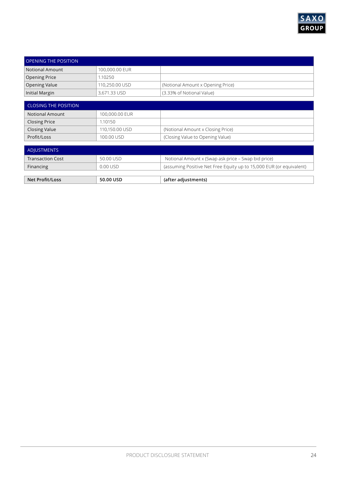

| <b>OPENING THE POSITION</b> |                |                                   |
|-----------------------------|----------------|-----------------------------------|
| Notional Amount             | 100,000.00 EUR |                                   |
| Opening Price               | 1.10250        |                                   |
| Opening Value               | 110,250.00 USD | (Notional Amount x Opening Price) |
| Initial Margin              | 3,671.33 USD   | (3.33% of Notional Value)         |

| <b>CLOSING THE POSITION</b> |                |                                   |
|-----------------------------|----------------|-----------------------------------|
| <b>Notional Amount</b>      | 100,000.00 EUR |                                   |
| <b>Closing Price</b>        | 1.10150        |                                   |
| <b>Closing Value</b>        | 110,150.00 USD | (Notional Amount x Closing Price) |
| Profit/Loss                 | 100.00 USD     | (Closing Value to Opening Value)  |

| ' ADJUSTMENTS ,         |           |                                                                     |
|-------------------------|-----------|---------------------------------------------------------------------|
| <b>Transaction Cost</b> | 50.00 USD | Notional Amount x (Swap ask price – Swap bid price)                 |
| Financing               | 0.00 USD  | (assuming Positive Net Free Equity up to 15,000 EUR (or equivalent) |
|                         |           |                                                                     |
| <b>Net Profit/Loss</b>  | 50.00 USD | (after adjustments)                                                 |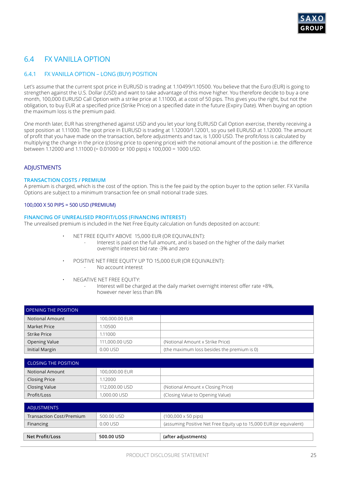# 6.4 FX VANILLA OPTION

### 6.4.1 FX VANILLA OPTION – LONG (BUY) POSITION

Let's assume that the current spot price in EURUSD is trading at 1.10499/1.10500. You believe that the Euro (EUR) is going to strengthen against the U.S. Dollar (USD) and want to take advantage of this move higher. You therefore decide to buy a one month, 100,000 EURUSD Call Option with a strike price at 1.11000, at a cost of 50 pips. This gives you the right, but not the obligation, to buy EUR at a specified price (Strike Price) on a specified date in the future (Expiry Date). When buying an option the maximum loss is the premium paid.

One month later, EUR has strengthened against USD and you let your long EURUSD Call Option exercise, thereby receiving a spot position at 1.11000. The spot price in EURUSD is trading at 1.12000/1.12001, so you sell EURUSD at 1.12000. The amount of profit that you have made on the transaction, before adjustments and tax, is 1,000 USD. The profit/loss is calculated by multiplying the change in the price (closing price to opening price) with the notional amount of the position i.e. the difference between 1.12000 and 1.11000 (= 0.01000 or 100 pips) x 100,000 = 1000 USD.

### ADJUSTMENTS

#### **TRANSACTION COSTS / PREMIUM**

A premium is charged, which is the cost of the option. This is the fee paid by the option buyer to the option seller. FX Vanilla Options are subject to a minimum transaction fee on small notional trade sizes.

#### 100,000 X 50 PIPS = 500 USD (PREMIUM)

#### **FINANCING OF UNREALISED PROFIT/LOSS (FINANCING INTEREST)**

The unrealised premium is included in the Net Free Equity calculation on funds deposited on account:

- NET FREE EQUITY ABOVE 15,000 EUR (OR EQUIVALENT):
	- Interest is paid on the full amount, and is based on the higher of the daily market overnight interest bid rate -3% and zero
- POSITIVE NET FREE EQUITY UP TO 15,000 EUR (OR EQUIVALENT): - No account interest
- NEGATIVE NET FREE EQUITY:

**Net Profit/Loss 500.00 USD (after adjustments)**

Interest will be charged at the daily market overnight interest offer rate +8%, however never less than 8%

| <b>OPENING THE POSITION</b>     |                |                                                                     |
|---------------------------------|----------------|---------------------------------------------------------------------|
| <b>Notional Amount</b>          | 100,000.00 EUR |                                                                     |
| <b>Market Price</b>             | 1.10500        |                                                                     |
| <b>Strike Price</b>             | 1.11000        |                                                                     |
| <b>Opening Value</b>            | 111,000.00 USD | (Notional Amount x Strike Price)                                    |
| <b>Initial Margin</b>           | 0.00 USD       | (the maximum loss besides the premium is 0)                         |
|                                 |                |                                                                     |
| <b>CLOSING THE POSITION</b>     |                |                                                                     |
| <b>Notional Amount</b>          | 100,000.00 EUR |                                                                     |
| <b>Closing Price</b>            | 1.12000        |                                                                     |
| <b>Closing Value</b>            | 112,000.00 USD | (Notional Amount x Closing Price)                                   |
| Profit/Loss                     | 1,000.00 USD   | (Closing Value to Opening Value)                                    |
|                                 |                |                                                                     |
| <b>ADJUSTMENTS</b>              |                |                                                                     |
| <b>Transaction Cost/Premium</b> | 500.00 USD     | $(100,000 \times 50 \text{ pins})$                                  |
| Financing                       | 0.00 USD       | (assuming Positive Net Free Equity up to 15,000 EUR (or equivalent) |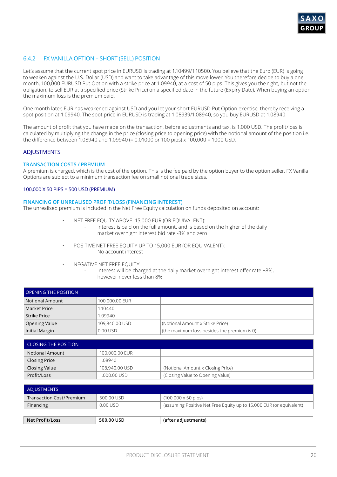

### 6.4.2 FX VANILLA OPTION – SHORT (SELL) POSITION

Let's assume that the current spot price in EURUSD is trading at 1.10499/1.10500. You believe that the Euro (EUR) is going to weaken against the U.S. Dollar (USD) and want to take advantage of this move lower. You therefore decide to buy a one month, 100,000 EURUSD Put Option with a strike price at 1.09940, at a cost of 50 pips. This gives you the right, but not the obligation, to sell EUR at a specified price (Strike Price) on a specified date in the future (Expiry Date). When buying an option the maximum loss is the premium paid.

One month later, EUR has weakened against USD and you let your short EURUSD Put Option exercise, thereby receiving a spot position at 1.09940. The spot price in EURUSD is trading at 1.08939/1.08940, so you buy EURUSD at 1.08940.

The amount of profit that you have made on the transaction, before adjustments and tax, is 1,000 USD. The profit/loss is calculated by multiplying the change in the price (closing price to opening price) with the notional amount of the position i.e. the difference between 1.08940 and 1.09940 (= 0.01000 or 100 pips) x 100,000 = 1000 USD.

#### ADJUSTMENTS

#### **TRANSACTION COSTS / PREMIUM**

A premium is charged, which is the cost of the option. This is the fee paid by the option buyer to the option seller. FX Vanilla Options are subject to a minimum transaction fee on small notional trade sizes.

#### 100,000 X 50 PIPS = 500 USD (PREMIUM)

#### **FINANCING OF UNREALISED PROFIT/LOSS (FINANCING INTEREST)**

The unrealised premium is included in the Net Free Equity calculation on funds deposited on account:

- NET FREE EQUITY ABOVE 15,000 EUR (OR EQUIVALENT):
	- Interest is paid on the full amount, and is based on the higher of the daily market overnight interest bid rate -3% and zero
- POSITIVE NET FREE EQUITY UP TO 15,000 EUR (OR EQUIVALENT): - No account interest
- NEGATIVE NET FREE EQUITY:
	- Interest will be charged at the daily market overnight interest offer rate +8%, however never less than 8%

| <b>OPENING THE POSITION</b> |                |                                             |  |
|-----------------------------|----------------|---------------------------------------------|--|
| <b>Notional Amount</b>      | 100,000.00 EUR |                                             |  |
| Market Price                | 1.10440        |                                             |  |
| Strike Price                | 1.09940        |                                             |  |
| Opening Value               | 109,940.00 USD | (Notional Amount x Strike Price)            |  |
| Initial Margin              | $0.00$ USD     | (the maximum loss besides the premium is 0) |  |

| <b>CLOSING THE POSITION</b> |                |                                   |  |
|-----------------------------|----------------|-----------------------------------|--|
| <b>Notional Amount</b>      | 100,000,00 EUR |                                   |  |
| <b>Closing Price</b>        | 1.08940        |                                   |  |
| <b>Closing Value</b>        | 108,940.00 USD | (Notional Amount x Closing Price) |  |
| Profit/Loss                 | 1,000.00 USD   | (Closing Value to Opening Value)  |  |

| ADJUSTMENTS              |            |                                                                     |
|--------------------------|------------|---------------------------------------------------------------------|
| Transaction Cost/Premium | 500.00 USD | $(100,000 \times 50 \text{ pips})$                                  |
| Financing                | $0.00$ USD | (assuming Positive Net Free Equity up to 15,000 EUR (or equivalent) |
|                          |            |                                                                     |
| Net Profit/Loss          | 500.00 USD | (after adjustments)                                                 |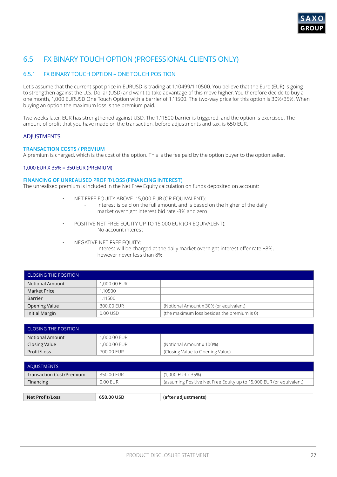

# 6.5 FX BINARY TOUCH OPTION (PROFESSIONAL CLIENTS ONLY)

### 6.5.1 FX BINARY TOUCH OPTION – ONE TOUCH POSITION

Let's assume that the current spot price in EURUSD is trading at 1.10499/1.10500. You believe that the Euro (EUR) is going to strengthen against the U.S. Dollar (USD) and want to take advantage of this move higher. You therefore decide to buy a one month, 1,000 EURUSD One Touch Option with a barrier of 1.11500. The two-way price for this option is 30%/35%. When buying an option the maximum loss is the premium paid.

Two weeks later, EUR has strengthened against USD. The 1.11500 barrier is triggered, and the option is exercised. The amount of profit that you have made on the transaction, before adjustments and tax, is 650 EUR.

### **ADJUSTMENTS**

#### **TRANSACTION COSTS / PREMIUM**

A premium is charged, which is the cost of the option. This is the fee paid by the option buyer to the option seller.

#### 1,000 EUR X 35% = 350 EUR (PREMIUM)

#### **FINANCING OF UNREALISED PROFIT/LOSS (FINANCING INTEREST)**

The unrealised premium is included in the Net Free Equity calculation on funds deposited on account:

- NET FREE EQUITY ABOVE 15,000 EUR (OR EQUIVALENT):
	- Interest is paid on the full amount, and is based on the higher of the daily market overnight interest bid rate -3% and zero
- POSITIVE NET FREE EQUITY UP TO 15,000 EUR (OR EQUIVALENT):
	- No account interest
- NEGATIVE NET FREE EQUITY:
	- Interest will be charged at the daily market overnight interest offer rate +8%, however never less than 8%

| <b>CLOSING THE POSITION</b> |              |                                             |
|-----------------------------|--------------|---------------------------------------------|
| <b>Notional Amount</b>      | 1,000.00 EUR |                                             |
| Market Price                | .10500       |                                             |
| <b>Barrier</b>              | 1.11500      |                                             |
| <b>Opening Value</b>        | 300.00 EUR   | (Notional Amount x 30% (or equivalent)      |
| Initial Margin              | 0.00 USD     | (the maximum loss besides the premium is 0) |

| <b>CLOSING THE POSITION</b> |              |                                  |  |
|-----------------------------|--------------|----------------------------------|--|
| Notional Amount             | 1,000,00 EUR |                                  |  |
| Closing Value               | 1,000,00 EUR | (Notional Amount x 100%)         |  |
| Profit/Loss                 | 700.00 EUR   | (Closing Value to Opening Value) |  |

| ADJUSTMENTS              |            |                                                                     |
|--------------------------|------------|---------------------------------------------------------------------|
| Transaction Cost/Premium | 350.00 FUR | (1,000 EUR x 35%)                                                   |
| Financing                | $0.00$ FUR | (assuming Positive Net Free Equity up to 15,000 EUR (or equivalent) |
|                          |            |                                                                     |
| Net Profit/Loss          | 650.00 USD | (after adjustments)                                                 |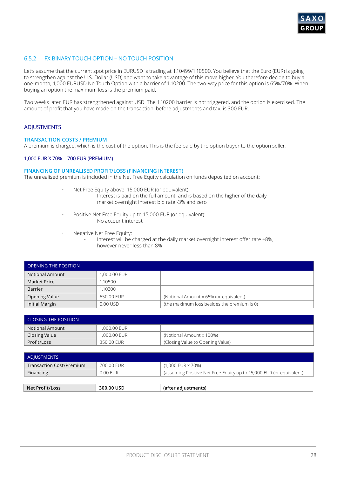

### 6.5.2 FX BINARY TOUCH OPTION – NO TOUCH POSITION

Let's assume that the current spot price in EURUSD is trading at 1.10499/1.10500. You believe that the Euro (EUR) is going to strengthen against the U.S. Dollar (USD) and want to take advantage of this move higher. You therefore decide to buy a one-month, 1,000 EURUSD No Touch Option with a barrier of 1.10200. The two-way price for this option is 65%/70%. When buying an option the maximum loss is the premium paid.

Two weeks later, EUR has strengthened against USD. The 1.10200 barrier is not triggered, and the option is exercised. The amount of profit that you have made on the transaction, before adjustments and tax, is 300 EUR.

#### **ADJUSTMENTS**

#### **TRANSACTION COSTS / PREMIUM**

A premium is charged, which is the cost of the option. This is the fee paid by the option buyer to the option seller.

### 1,000 EUR X 70% = 700 EUR (PREMIUM)

### **FINANCING OF UNREALISED PROFIT/LOSS (FINANCING INTEREST)**

The unrealised premium is included in the Net Free Equity calculation on funds deposited on account:

- Net Free Equity above 15,000 EUR (or equivalent):
	- Interest is paid on the full amount, and is based on the higher of the daily market overnight interest bid rate -3% and zero
- Positive Net Free Equity up to 15,000 EUR (or equivalent):
	- No account interest
- Negative Net Free Equity:
	- Interest will be charged at the daily market overnight interest offer rate +8%, however never less than 8%

| <b>OPENING THE POSITION</b> |              |                                             |
|-----------------------------|--------------|---------------------------------------------|
| <b>Notional Amount</b>      | 1,000.00 EUR |                                             |
| Market Price                | 1.10500      |                                             |
| <b>Barrier</b>              | 1.10200      |                                             |
| <b>Opening Value</b>        | 650.00 EUR   | (Notional Amount x 65% (or equivalent)      |
| Initial Margin              | 0.00 USD     | (the maximum loss besides the premium is 0) |

| L CLOSING THE POSITION. |              |                                  |  |
|-------------------------|--------------|----------------------------------|--|
| Notional Amount         | 1,000,00 EUR |                                  |  |
| Closing Value           | 1,000,00 EUR | (Notional Amount x 100%)         |  |
| Profit/Loss             | 350.00 FUR   | (Closing Value to Opening Value) |  |

| ADJUSTMENTS                     |            |                                                                     |
|---------------------------------|------------|---------------------------------------------------------------------|
| <b>Transaction Cost/Premium</b> | 700.00 FUR | (1,000 EUR x 70%)                                                   |
| Financing                       | 0.00 EUR   | (assuming Positive Net Free Equity up to 15,000 EUR (or equivalent) |
|                                 |            |                                                                     |
| Net Profit/Loss                 | 300.00 USD | (after adjustments)                                                 |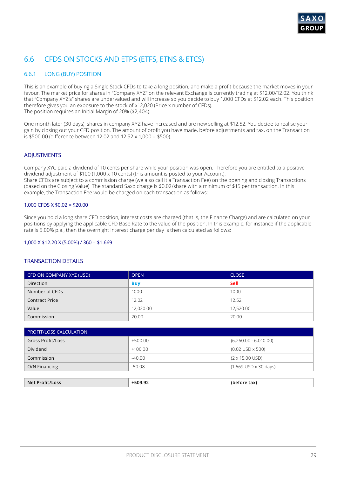# 6.6 CFDS ON STOCKS AND ETPS (ETFS, ETNS & ETCS)

### 6.6.1 LONG (BUY) POSITION

This is an example of buying a Single Stock CFDs to take a long position, and make a profit because the market moves in your favour. The market price for shares in "Company XYZ" on the relevant Exchange is currently trading at \$12.00/12.02. You think that "Company XYZ's" shares are undervalued and will increase so you decide to buy 1,000 CFDs at \$12.02 each. This position therefore gives you an exposure to the stock of \$12,020 (Price x number of CFDs). The position requires an Initial Margin of 20% (\$2,404).

One month later (30 days), shares in company XYZ have increased and are now selling at \$12.52. You decide to realise your gain by closing out your CFD position. The amount of profit you have made, before adjustments and tax, on the Transaction is \$500.00 (difference between 12.02 and 12.52 x 1,000 = \$500).

### ADJUSTMENTS

Company XYC paid a dividend of 10 cents per share while your position was open. Therefore you are entitled to a positive dividend adjustment of \$100 (1,000 x 10 cents) (this amount is posted to your Account). Share CFDs are subject to a commission charge (we also call it a Transaction Fee) on the opening and closing Transactions (based on the Closing Value). The standard Saxo charge is \$0.02/share with a minimum of \$15 per transaction. In this example, the Transaction Fee would be charged on each transaction as follows:

#### 1,000 CFDS X \$0.02 = \$20.00

Since you hold a long share CFD position, interest costs are charged (that is, the Finance Charge) and are calculated on your positions by applying the applicable CFD Base Rate to the value of the position. In this example, for instance if the applicable rate is 5.00% p.a., then the overnight interest charge per day is then calculated as follows:

#### 1,000 X \$12.20 X (5.00%) / 360 = \$1.669

| CFD ON COMPANY XYZ (USD) | <b>OPEN</b> | <b>CLOSE</b> |
|--------------------------|-------------|--------------|
| <b>Direction</b>         | <b>Buy</b>  | Sell         |
| Number of CFDs           | 1000        | 1000         |
| <b>Contract Price</b>    | 12.02       | 12.52        |
| Value                    | 12,020.00   | 12,520.00    |
| Commission               | 20.00       | 20.00        |

| <b>PROFIT/LOSS CALCULATION</b> |           |                                |  |
|--------------------------------|-----------|--------------------------------|--|
| <b>Gross Profit/Loss</b>       | $+500.00$ | $(6,260.00 - 6,010.00)$        |  |
| Dividend                       | $+100.00$ | $(0.02$ USD $\times$ 500)      |  |
| Commission                     | $-40.00$  | $(2 \times 15.00 \text{ USD})$ |  |
| O/N Financing                  | $-50.08$  | $(1.669$ USD x 30 days)        |  |

| Net Profit/Loss | בם מח5.<br>ייי<br>J.JL | tax)<br>ោម<br>. |
|-----------------|------------------------|-----------------|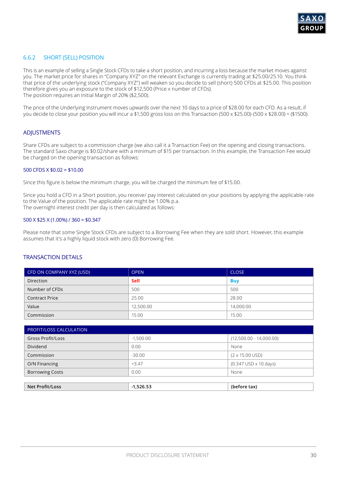

### 6.6.2 SHORT (SELL) POSITION

This is an example of selling a Single Stock CFDs to take a short position, and incurring a loss because the market moves against you. The market price for shares in "Company XYZ" on the relevant Exchange is currently trading at \$25.00/25.10. You think that price of the underlying stock ("Company XYZ") will weaken so you decide to sell (short) 500 CFDs at \$25.00. This position therefore gives you an exposure to the stock of \$12,500 (Price x number of CFDs). The position requires an Initial Margin of 20% (\$2,500).

The price of the Underlying Instrument moves upwards over the next 10 days to a price of \$28.00 for each CFD. As a result, if you decide to close your position you will incur a \$1,500 gross loss on this Transaction (500 x \$25.00)-(500 x \$28.00) = (\$1500).

#### ADJUSTMENTS

Share CFDs are subject to a commission charge (we also call it a Transaction Fee) on the opening and closing transactions. The standard Saxo charge is \$0.02/share with a minimum of \$15 per transaction. In this example, the Transaction Fee would be charged on the opening transaction as follows:

#### 500 CFDS X \$0.02 = \$10.00

Since this figure is below the minimum charge, you will be charged the minimum fee of \$15.00.

Since you hold a CFD in a Short position, you receive/ pay interest calculated on your positions by applying the applicable rate to the Value of the position. The applicable rate might be 1.00% p.a. The overnight interest credit per day is then calculated as follows:

#### 500 X \$25 X (1.00%) / 360 = \$0.347

Please note that some Single Stock CFDs are subject to a Borrowing Fee when they are sold short. However, this example assumes that it's a highly liquid stock with zero (0) Borrowing Fee.

| CFD ON COMPANY XYZ (USD) | <b>OPEN</b> | <b>CLOSE</b> |
|--------------------------|-------------|--------------|
| <b>Direction</b>         | Sell        | <b>Buy</b>   |
| Number of CFDs           | 500         | 500          |
| <b>Contract Price</b>    | 25.00       | 28.00        |
| Value                    | 12,500.00   | 14,000.00    |
| Commission               | 15.00       | 15.00        |

| <b>PROFIT/LOSS CALCULATION</b> |             |                                              |  |
|--------------------------------|-------------|----------------------------------------------|--|
| <b>Gross Profit/Loss</b>       | $-1,500.00$ | $(12,500.00 - 14,000.00)$                    |  |
| Dividend                       | 0.00        | None                                         |  |
| Commission                     | $-30.00$    | $(2 \times 15.00 \text{ USD})$               |  |
| O/N Financing                  | $+3.47$     | $(0.347 \text{ USD} \times 10 \text{ days})$ |  |
| <b>Borrowing Costs</b>         | 0.00        | None                                         |  |
|                                |             |                                              |  |

| Net<br>nss<br>P<br>. | .<br>Ld X |
|----------------------|-----------|
|                      |           |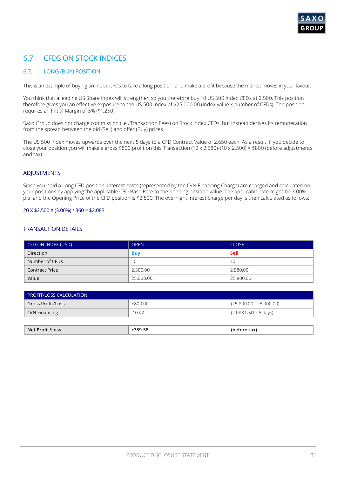# 6.7 CFDS ON STOCK INDICES

### 6.7.1 LONG (BUY) POSITION

This is an example of buying an Index CFDs to take a long position, and make a profit because the market moves in your favour.

You think that a leading US Share index will strengthen so you therefore buy 10 US 500 Index CFDs at 2,500, This position therefore gives you an effective exposure to the US 500 Index of \$25,000.00 (Index value x number of CFDs). The position requires an Initial Margin of 5% (\$1,250).

Saxo Group does not charge commission (i.e., Transaction Fees) on Stock Index CFDs, but instead derives its remuneration from the spread between the bid (Sell) and offer (Buy) prices.

The US 500 Index moves upwards over the next 5 days to a CFD Contract Value of 2,650 each. As a result, if you decide to close your position you will make a gross \$800 profit on this Transaction (10 x 2,580)-(10 x 2,500) = \$800 (before adjustments and tax).

### **ADJUSTMENTS**

Since you hold a Long CFD position, interest costs (represented by the O/N Financing Charge) are charged and calculated on your positions by applying the applicable CFD Base Rate to the opening position value. The applicable rate might be 3.00% p.a. and the Opening Price of the CFD position is \$2,500. The overnight interest charge per day is then calculated as follows:

#### 20 X \$2,500 X (3.00%) / 360 = \$2.083

| CFD ON INDEX (USD)    | <b>OPEN</b> | <b>CLOSE</b> |
|-----------------------|-------------|--------------|
| Direction             | <b>Buy</b>  | Sell         |
| Number of CFDs        | 10          | 10           |
| <b>Contract Price</b> | 2,500.00    | 2,580.00     |
| Value                 | 25,000.00   | 25,800.00    |

| <b>PROFIT/LOSS CALCULATION</b> |           |                               |
|--------------------------------|-----------|-------------------------------|
| Gross Profit/Loss              | $+800.00$ | (25.800.00 - 25,000.00)       |
| O/N Financing                  | -10.42    | $(2.083$ USD $\times$ 5 days) |
|                                |           |                               |

| 700E <sub>0</sub><br><b>Net</b><br>ncc<br>85<br>.<br>. | $\sim$<br>.dX |
|--------------------------------------------------------|---------------|
|--------------------------------------------------------|---------------|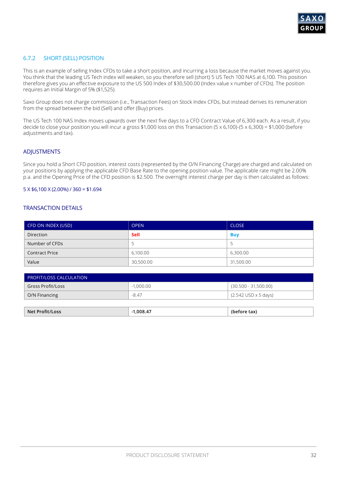

### 6.7.2 SHORT (SELL) POSITION

This is an example of selling Index CFDs to take a short position, and incurring a loss because the market moves against you. You think that the leading US Tech index will weaken, so you therefore sell (short) 5 US Tech 100 NAS at 6,100. This position therefore gives you an effective exposure to the US 500 Index of \$30,500.00 (Index value x number of CFDs). The position requires an Initial Margin of 5% (\$1,525).

Saxo Group does not charge commission (i.e., Transaction Fees) on Stock Index CFDs, but instead derives its remuneration from the spread between the bid (Sell) and offer (Buy) prices.

The US Tech 100 NAS Index moves upwards over the next five days to a CFD Contract Value of 6,300 each. As a result, if you decide to close your position you will incur a gross \$1,000 loss on this Transaction (5 x 6,100)-(5 x 6,300) = \$1,000 (before adjustments and tax).

### ADJUSTMENTS

Since you hold a Short CFD position, interest costs (represented by the O/N Financing Charge) are charged and calculated on your positions by applying the applicable CFD Base Rate to the opening position value. The applicable rate might be 2.00% p.a. and the Opening Price of the CFD position is \$2.500. The overnight interest charge per day is then calculated as follows:

#### 5 X \$6,100 X (2.00%) / 360 = \$1.694

| CFD ON INDEX (USD)    | <b>OPEN</b> | <b>CLOSE</b> |
|-----------------------|-------------|--------------|
| <b>Direction</b>      | Sell        | <b>Buy</b>   |
| Number of CFDs        |             |              |
| <b>Contract Price</b> | 6,100.00    | 6,300.00     |
| Value                 | 30,500.00   | 31,500.00    |

| PROFIT/LOSS CALCULATION |             |                                             |
|-------------------------|-------------|---------------------------------------------|
| Gross Profit/Loss       | $-1.000.00$ | $(30.500 - 31,500.00)$                      |
| O/N Financing           | -8.47       | $(2.542 \text{ USD} \times 5 \text{ days})$ |
|                         |             |                                             |

| <b>Net Profit/Loss</b> | .008.47 | `tax)<br>(before |
|------------------------|---------|------------------|
|                        |         |                  |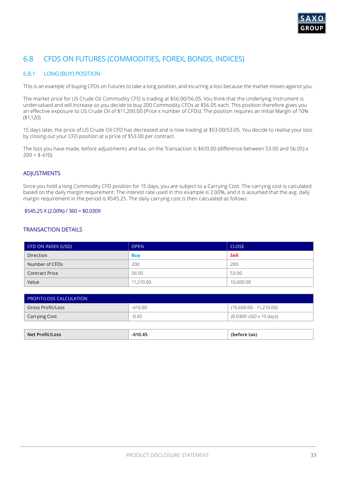

# 6.8 CFDS ON FUTURES (COMMODITIES, FOREX, BONDS, INDICES)

### 6.8.1 LONG (BUY) POSITION

This is an example of buying CFDs on Futures to take a long position, and incurring a loss because the market moves against you.

The market price for US Crude Oil Commodity CFD is trading at \$56.00/56.05. You think that the Underlying Instrument is undervalued and will increase so you decide to buy 200 Commodity CFDs at \$56.05 each. This position therefore gives you an effective exposure to US Crude Oil of \$11,200.00 (Price x number of CFDs). The position requires an Initial Margin of 10% (\$1,120).

15 days later, the price of US Crude Oil CFD has decreased and is now trading at \$53.00/53.05. You decide to realise your loss by closing out your CFD position at a price of \$53.00 per contract.

The loss you have made, before adjustments and tax, on the Transaction is \$610.00 (difference between 53.00 and 56.05) x  $200 = $-610$ ).

### **ADJUSTMENTS**

Since you hold a long Commodity CFD position for 15 days, you are subject to a Carrying Cost. The carrying cost is calculated based on the daily margin requirement. The interest rate used in this example is 2.00%, and it is assumed that the avg. daily margin requirement in the period is \$545.25. The daily carrying cost is then calculated as follows:

#### \$545.25 X (2.00%) / 360 = \$0.0309

### TRANSACTION DETAILS

| CFD ON INDEX (USD)    | <b>OPEN</b> | <b>CLOSE</b> |
|-----------------------|-------------|--------------|
| <b>Direction</b>      | <b>Buy</b>  | Sell         |
| Number of CFDs        | 200         | 200          |
| <b>Contract Price</b> | 56.05       | 53.00        |
| Value                 | 11,210.00   | 10,600.00    |

| <b>PROFIT/LOSS CALCULATION</b> |           |                           |  |
|--------------------------------|-----------|---------------------------|--|
| <b>Gross Profit/Loss</b>       | $-610.00$ | $(10,600.00 - 11,210.00)$ |  |
| <b>Carrying Cost</b>           | $-0.45$   | (0.0309 USD x 15 days)    |  |
|                                |           |                           |  |

**Net Profit/Loss -610.45 (before tax)**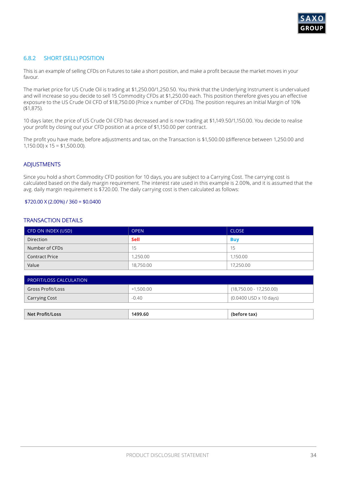

### 6.8.2 SHORT (SELL) POSITION

This is an example of selling CFDs on Futures to take a short position, and make a profit because the market moves in your favour.

The market price for US Crude Oil is trading at \$1,250.00/1,250.50. You think that the Underlying Instrument is undervalued and will increase so you decide to sell 15 Commodity CFDs at \$1,250.00 each. This position therefore gives you an effective exposure to the US Crude Oil CFD of \$18,750.00 (Price x number of CFDs). The position requires an Initial Margin of 10% (\$1,875).

10 days later, the price of US Crude Oil CFD has decreased and is now trading at \$1,149.50/1,150.00. You decide to realise your profit by closing out your CFD position at a price of \$1,150.00 per contract.

The profit you have made, before adjustments and tax, on the Transaction is \$1,500.00 (difference between 1,250.00 and  $1,150.00 \times 15 = $1,500.00$ .

#### ADJUSTMENTS

Since you hold a short Commodity CFD position for 10 days, you are subject to a Carrying Cost. The carrying cost is calculated based on the daily margin requirement. The interest rate used in this example is 2.00%, and it is assumed that the avg. daily margin requirement is \$720.00. The daily carrying cost is then calculated as follows:

#### $$720.00 \times (2.00\%) / 360 = $0.0400$

### TRANSACTION DETAILS

| CFD ON INDEX (USD)    | <b>OPEN</b> | <b>CLOSE</b> |
|-----------------------|-------------|--------------|
| <b>Direction</b>      | Sell        | <b>Buy</b>   |
| Number of CFDs        | 15          | 15           |
| <b>Contract Price</b> | 1,250.00    | 1.150.00     |
| Value                 | 18,750.00   | 17,250.00    |

| $\mathsf{\mathsf{I}}$ PROFIT/LOSS CALCULATION $\mathsf{\mathsf{I}}$ |             |                                                   |
|---------------------------------------------------------------------|-------------|---------------------------------------------------|
| Gross Profit/Loss                                                   | $+1.500.00$ | (18,750.00 - 17,250.00)                           |
| Carrying Cost                                                       | $-0.40$     | $(0.0400 \, \text{USD} \times 10 \, \text{days})$ |
|                                                                     |             |                                                   |

**Net Profit/Loss 1499.60 (before tax)**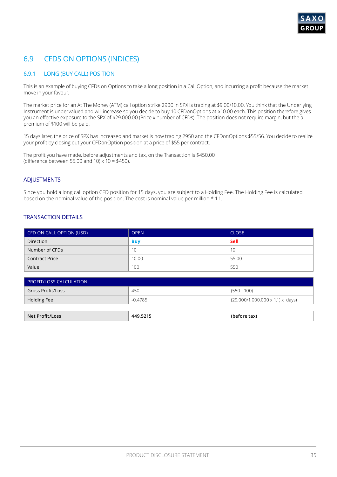# 6.9 CFDS ON OPTIONS (INDICES)

### 6.9.1 LONG (BUY CALL) POSITION

This is an example of buying CFDs on Options to take a long position in a Call Option, and incurring a profit because the market move in your favour.

The market price for an At The Money (ATM) call option strike 2900 in SPX is trading at \$9.00/10.00. You think that the Underlying Instrument is undervalued and will increase so you decide to buy 10 CFDonOptions at \$10.00 each. This position therefore gives you an effective exposure to the SPX of \$29,000.00 (Price x number of CFDs). The position does not require margin, but the a premium of \$100 will be paid.

15 days later, the price of SPX has increased and market is now trading 2950 and the CFDonOptions \$55/56. You decide to realize your profit by closing out your CFDonOption position at a price of \$55 per contract.

The profit you have made, before adjustments and tax, on the Transaction is \$450.00 (difference between 55.00 and 10)  $\times$  10 = \$450).

### ADJUSTMENTS

Since you hold a long call option CFD position for 15 days, you are subject to a Holding Fee. The Holding Fee is calculated based on the nominal value of the position. The cost is nominal value per million \* 1.1.

| CFD ON CALL OPTION (USD) | <b>OPEN</b> | <b>CLOSE</b> |
|--------------------------|-------------|--------------|
| Direction                | <b>Buy</b>  | Sell         |
| Number of CFDs           | 10          | 10           |
| <b>Contract Price</b>    | 10.00       | 55.00        |
| Value                    | 100         | 550          |

| <b>Net Profit/Loss</b>         | 449.5215  | (before tax)                                 |
|--------------------------------|-----------|----------------------------------------------|
| Holding Fee                    | $-0.4785$ | $(29,000/1,000,000 \times 1.1) \times$ days) |
| <b>Gross Profit/Loss</b>       | 450       | (550 - 100)                                  |
| <b>PROFIT/LOSS CALCULATION</b> |           |                                              |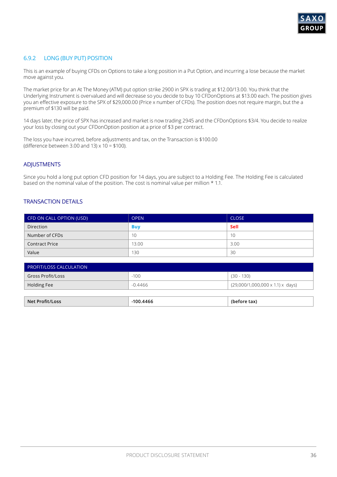

### 6.9.2 LONG (BUY PUT) POSITION

This is an example of buying CFDs on Options to take a long position in a Put Option, and incurring a lose because the market move against you.

The market price for an At The Money (ATM) put option strike 2900 in SPX is trading at \$12.00/13.00. You think that the Underlying Instrument is overvalued and will decrease so you decide to buy 10 CFDonOptions at \$13.00 each. The position gives you an effective exposure to the SPX of \$29,000.00 (Price x number of CFDs). The position does not require margin, but the a premium of \$130 will be paid.

14 days later, the price of SPX has increased and market is now trading 2945 and the CFDonOptions \$3/4. You decide to realize your loss by closing out your CFDonOption position at a price of \$3 per contract.

The loss you have incurred, before adjustments and tax, on the Transaction is \$100.00 (difference between 3.00 and 13)  $\times$  10 = \$100).

### **ADJUSTMENTS**

Since you hold a long put option CFD position for 14 days, you are subject to a Holding Fee. The Holding Fee is calculated based on the nominal value of the position. The cost is nominal value per million \* 1.1.

| CFD ON CALL OPTION (USD) | <b>OPEN</b> | <b>CLOSE</b> |
|--------------------------|-------------|--------------|
| <b>Direction</b>         | <b>Buy</b>  | Sell         |
| Number of CFDs           | 10          | 10           |
| <b>Contract Price</b>    | 13.00       | 3.00         |
| Value                    | 130         | 30           |

| <b>PROFIT/LOSS CALCULATION</b> |           |                                              |
|--------------------------------|-----------|----------------------------------------------|
| Gross Profit/Loss              | $-100$    | $(30 - 130)$                                 |
| Holding Fee                    | $-0.4466$ | $(29,000/1,000,000 \times 1.1) \times$ days) |

| <b>Net Profit/Loss</b> | 100.4466 | tax)<br>netore. |
|------------------------|----------|-----------------|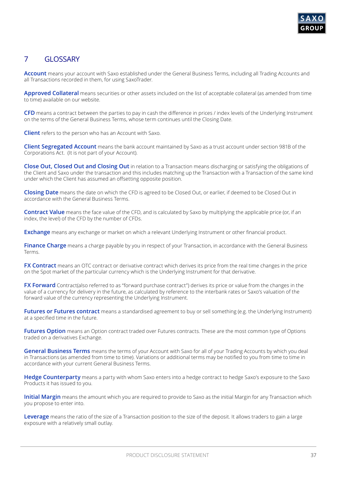

# 7 GLOSSARY

**Account** means your account with Saxo established under the General Business Terms, including all Trading Accounts and all Transactions recorded in them, for using SaxoTrader.

**Approved Collateral** means securities or other assets included on the list of acceptable collateral (as amended from time to time) available on our website.

**CFD** means a contract between the parties to pay in cash the difference in prices / index levels of the Underlying Instrument on the terms of the General Business Terms, whose term continues until the Closing Date.

**Client** refers to the person who has an Account with Saxo.

**Client Segregated Account** means the bank account maintained by Saxo as a trust account under section 981B of the Corporations Act. (It is not part of your Account).

**Close Out, Closed Out and Closing Out** in relation to a Transaction means discharging or satisfying the obligations of the Client and Saxo under the transaction and this includes matching up the Transaction with a Transaction of the same kind under which the Client has assumed an offsetting opposite position.

**Closing Date** means the date on which the CFD is agreed to be Closed Out, or earlier, if deemed to be Closed Out in accordance with the General Business Terms.

**Contract Value** means the face value of the CFD, and is calculated by Saxo by multiplying the applicable price (or, if an index, the level) of the CFD by the number of CFDs.

**Exchange** means any exchange or market on which a relevant Underlying Instrument or other financial product.

**Finance Charge** means a charge payable by you in respect of your Transaction, in accordance with the General Business Terms.

**FX Contract** means an OTC contract or derivative contract which derives its price from the real time changes in the price on the Spot market of the particular currency which is the Underlying Instrument for that derivative.

**FX Forward** Contract(also referred to as "forward purchase contract") derives its price or value from the changes in the value of a currency for delivery in the future, as calculated by reference to the interbank rates or Saxo's valuation of the forward value of the currency representing the Underlying Instrument.

**Futures or Futures contract** means a standardised agreement to buy or sell something (e.g. the Underlying Instrument) at a specified time in the future.

**Futures Option** means an Option contract traded over Futures contracts. These are the most common type of Options traded on a derivatives Exchange.

**General Business Terms** means the terms of your Account with Saxo for all of your Trading Accounts by which you deal in Transactions (as amended from time to time). Variations or additional terms may be notified to you from time to time in accordance with your current General Business Terms.

**Hedge Counterparty** means a party with whom Saxo enters into a hedge contract to hedge Saxo's exposure to the Saxo Products it has issued to you.

**Initial Margin** means the amount which you are required to provide to Saxo as the initial Margin for any Transaction which you propose to enter into.

**Leverage** means the ratio of the size of a Transaction position to the size of the deposit. It allows traders to gain a large exposure with a relatively small outlay.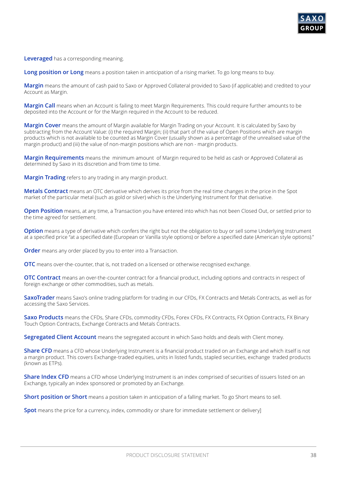

**Leveraged** has a corresponding meaning.

**Long position or Long** means a position taken in anticipation of a rising market. To go long means to buy.

**Margin** means the amount of cash paid to Saxo or Approved Collateral provided to Saxo (if applicable) and credited to your Account as Margin.

**Margin Call** means when an Account is failing to meet Margin Requirements. This could require further amounts to be deposited into the Account or for the Margin required in the Account to be reduced.

**Margin Cover** means the amount of Margin available for Margin Trading on your Account. It is calculated by Saxo by subtracting from the Account Value: (i) the required Margin; (ii) that part of the value of Open Positions which are margin products which is not available to be counted as Margin Cover (usually shown as a percentage of the unrealised value of the margin product) and (iii) the value of non-margin positions which are non - margin products.

**Margin Requirements** means the minimum amount of Margin required to be held as cash or Approved Collateral as determined by Saxo in its discretion and from time to time.

**Margin Trading** refers to any trading in any margin product.

**Metals Contract** means an OTC derivative which derives its price from the real time changes in the price in the Spot market of the particular metal (such as gold or silver) which is the Underlying Instrument for that derivative.

**Open Position** means, at any time, a Transaction you have entered into which has not been Closed Out, or settled prior to the time agreed for settlement.

**Option** means a type of derivative which confers the right but not the obligation to buy or sell some Underlying Instrument at a specified price "at a specified date (European or Vanilla style options) or before a specified date (American style options)."

**Order** means any order placed by you to enter into a Transaction.

**OTC** means over-the-counter, that is, not traded on a licensed or otherwise recognised exchange.

**OTC Contract** means an over-the-counter contract for a financial product, including options and contracts in respect of foreign exchange or other commodities, such as metals.

**SaxoTrader** means Saxo's online trading platform for trading in our CFDs, FX Contracts and Metals Contracts, as well as for accessing the Saxo Services.

**Saxo Products** means the CFDs, Share CFDs, commodity CFDs, Forex CFDs, FX Contracts, FX Option Contracts, FX Binary Touch Option Contracts, Exchange Contracts and Metals Contracts.

**Segregated Client Account** means the segregated account in which Saxo holds and deals with Client money.

**Share CFD** means a CFD whose Underlying Instrument is a financial product traded on an Exchange and which itself is not a margin product. This covers Exchange-traded equities, units in listed funds, stapled securities, exchange traded products (known as ETPs).

**Share Index CFD** means a CFD whose Underlying Instrument is an index comprised of securities of issuers listed on an Exchange, typically an index sponsored or promoted by an Exchange.

**Short position or Short** means a position taken in anticipation of a falling market. To go Short means to sell.

**Spot** means the price for a currency, index, commodity or share for immediate settlement or delivery]